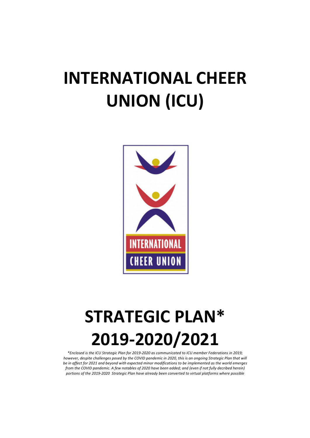# **INTERNATIONAL CHEER UNION (ICU)**



## **STRATEGIC PLAN\* 2019-2020/2021**

*\*Enclosed is the ICU Strategic Plan for 2019-2020 as communicated to ICU member Federations in 2019; however, despite challenges posed by the COVID pandemic in 2020, this is an ongoing Strategic Plan that will be in affect for 2021 and beyond with expected minor modifications to be implemented as the world emerges from the COVID pandemic. A few notables of 2020 have been added; and (even if not fully decribed herein) portions of the 2019-2020 Strategic Plan have already been converted to virtual platforms where possible*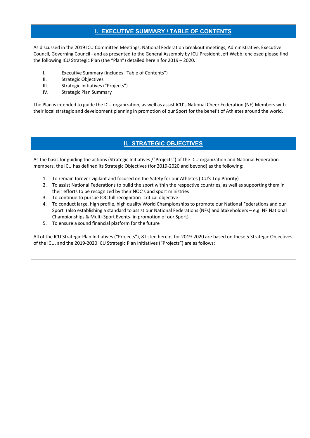#### **I. EXECUTIVE SUMMARY / TABLE OF CONTENTS**

As discussed in the 2019 ICU Committee Meetings, National Federation breakout meetings, Administrative, Executive Council, Governing Council - and as presented to the General Assembly by ICU President Jeff Webb; enclosed please find the following ICU Strategic Plan (the "Plan") detailed herein for 2019 – 2020.

- I. Executive Summary (includes "Table of Contents")
- II. Strategic Objectives
- III. Strategic Initiatives ("Projects")
- IV. Strategic Plan Summary

The Plan is intended to guide the ICU organization, as well as assist ICU's National Cheer Federation (NF) Members with their local strategic and development planning in promotion of our Sport for the benefit of Athletes around the world.

#### **II. STRATEGIC OBJECTIVES**

As the basis for guiding the actions (Strategic Initiatives /"Projects") of the ICU organization and National Federation members, the ICU has defined its Strategic Objectives (for 2019-2020 and beyond) as the following:

- 1. To remain forever vigilant and focused on the Safety for our Athletes (ICU's Top Priority)
- 2. To assist National Federations to build the sport within the respective countries, as well as supporting them in their efforts to be recognized by their NOC's and sport ministries
- 3. To continue to pursue IOC full recognition- critical objective
- 4. To conduct large, high profile, high quality World Championships to promote our National Federations and our Sport (also establishing a standard to assist our National Federations (NFs) and Stakeholders – e.g. NF National Championships & Multi-Sport Events- in promotion of our Sport)
- 5. To ensure a sound financial platform for the future

All of the ICU Strategic Plan Initiatives ("Projects"), 8 listed herein, for 2019-2020 are based on these 5 Strategic Objectives of the ICU, and the 2019-2020 ICU Strategic Plan Initiatives ("Projects") are as follows: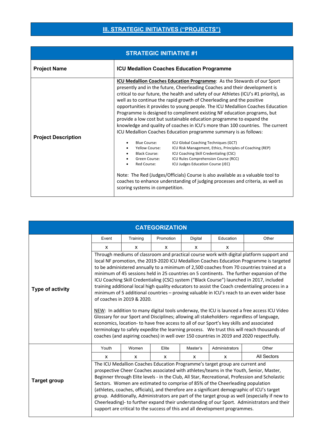### **III. STRATEGIC INITIATIVES ("PROJECTS")**

| <b>STRATEGIC INITIATIVE #1</b> |                                                                                                                                                                                                                                                                                                                                                                                                                                                                                                                                                                                                                                                                                                                                                                                                                                                                                                                                                                                                                                                                                                                                                                                                                                                  |  |  |  |
|--------------------------------|--------------------------------------------------------------------------------------------------------------------------------------------------------------------------------------------------------------------------------------------------------------------------------------------------------------------------------------------------------------------------------------------------------------------------------------------------------------------------------------------------------------------------------------------------------------------------------------------------------------------------------------------------------------------------------------------------------------------------------------------------------------------------------------------------------------------------------------------------------------------------------------------------------------------------------------------------------------------------------------------------------------------------------------------------------------------------------------------------------------------------------------------------------------------------------------------------------------------------------------------------|--|--|--|
| <b>Project Name</b>            | <b>ICU Medallion Coaches Education Programme</b>                                                                                                                                                                                                                                                                                                                                                                                                                                                                                                                                                                                                                                                                                                                                                                                                                                                                                                                                                                                                                                                                                                                                                                                                 |  |  |  |
| <b>Project Description</b>     | ICU Medallion Coaches Education Programme: As the Stewards of our Sport<br>presently and in the future, Cheerleading Coaches and their development is<br>critical to our future, the health and safety of our Athletes (ICU's #1 priority), as<br>well as to continue the rapid growth of Cheerleading and the positive<br>opportunities it provides to young people. The ICU Medallion Coaches Education<br>Programme is designed to compliment existing NF education programs, but<br>provide a low cost but sustainable education programme to expand the<br>knowledge and quality of coaches in ICU's more than 100 countries. The current<br>ICU Medallion Coaches Education programme summary is as follows:<br>Blue Course:<br>ICU Global Coaching Techniques (GCT)<br>Yellow Course:<br>ICU Risk Management, Ethics, Principles of Coaching (REP)<br><b>Black Course:</b><br>ICU Coaching Skill Credentialing (CSC)<br>Green Course:<br>ICU Rules Comprehension Course (RCC)<br>Red Course:<br>ICU Judges Education Course (JEC)<br>Note: The Red (Judges/Officials) Course is also available as a valuable tool to<br>coaches to enhance understanding of judging processes and criteria, as well as<br>scoring systems in competition. |  |  |  |

| <b>CATEGORIZATION</b> |                                                                                                                                                                                                                                                                                                                                                                                                                                                                                                                                                                                                                                                                                                                                                                                                                                                                                                                                                                                                                                                                                                                                                                                            |          |                           |              |                |             |
|-----------------------|--------------------------------------------------------------------------------------------------------------------------------------------------------------------------------------------------------------------------------------------------------------------------------------------------------------------------------------------------------------------------------------------------------------------------------------------------------------------------------------------------------------------------------------------------------------------------------------------------------------------------------------------------------------------------------------------------------------------------------------------------------------------------------------------------------------------------------------------------------------------------------------------------------------------------------------------------------------------------------------------------------------------------------------------------------------------------------------------------------------------------------------------------------------------------------------------|----------|---------------------------|--------------|----------------|-------------|
|                       | Event                                                                                                                                                                                                                                                                                                                                                                                                                                                                                                                                                                                                                                                                                                                                                                                                                                                                                                                                                                                                                                                                                                                                                                                      | Training | Promotion                 | Digital      | Education      | Other       |
|                       | X                                                                                                                                                                                                                                                                                                                                                                                                                                                                                                                                                                                                                                                                                                                                                                                                                                                                                                                                                                                                                                                                                                                                                                                          | X        | X                         | X            | X              |             |
| Type of activity      | Through mediums of classroom and practical course work with digital platform support and<br>local NF promotion, the 2019-2020 ICU Medallion Coaches Education Programme is targeted<br>to be administered annually to a minimum of 2,500 coaches from 70 countries trained at a<br>minimum of 45 sessions held in 25 countries on 5 continents. The further expansion of the<br>ICU Coaching Skill Credentialing (CSC) system ("Black Course") launched in 2017, included<br>training additional local high quality educators to assist the Coach credentialing process in a<br>minimum of 5 additional countries - proving valuable in ICU's reach to an even wider base<br>of coaches in 2019 & 2020.<br>NEW: In addition to many digital tools underway, the ICU is launced a free access ICU Video<br>Glossary for our Sport and Disciplines; allowing all stakeholders- regardless of language,<br>economics, location- to have free access to all of our Sport's key skills and associated<br>terminology to safely expedite the learning process. We trust this will reach thousands of<br>coaches (and aspiring coaches) in well over 150 countries in 2019 and 2020 respectfully. |          |                           |              |                |             |
|                       | Youth                                                                                                                                                                                                                                                                                                                                                                                                                                                                                                                                                                                                                                                                                                                                                                                                                                                                                                                                                                                                                                                                                                                                                                                      | Women    | Elite                     | Master's     | Administrators | Other       |
|                       | X                                                                                                                                                                                                                                                                                                                                                                                                                                                                                                                                                                                                                                                                                                                                                                                                                                                                                                                                                                                                                                                                                                                                                                                          | X        | $\boldsymbol{\mathsf{x}}$ | $\mathsf{x}$ | $\mathsf{x}$   | All Sectors |
| <b>Target group</b>   | The ICU Medallion Coaches Education Programme's target group are current and<br>prospective Cheer Coaches associated with athletes/teams in the Youth, Senior, Master,<br>Beginner through Elite levels - in the Club, All Star, Recreational, Profession and Scholastic<br>Sectors. Women are estimated to comprise of 85% of the Cheerleading population<br>(athletes, coaches, officials), and therefore are a significant demographic of ICU's target<br>group. Additionally, Administrators are part of the target group as well (especially if new to<br>Cheerleading)- to further expand their understanding of our Sport. Administrators and their<br>support are critical to the success of this and all development programmes.                                                                                                                                                                                                                                                                                                                                                                                                                                                  |          |                           |              |                |             |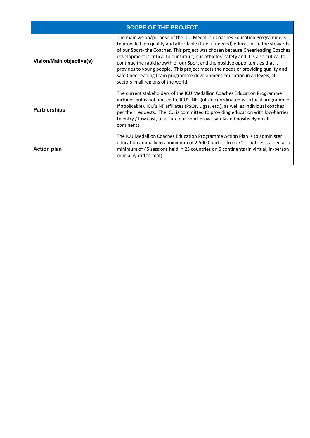|                          | <b>SCOPE OF THE PROJECT</b>                                                                                                                                                                                                                                                                                                                                                                                                                                                                                                                                                                                                            |
|--------------------------|----------------------------------------------------------------------------------------------------------------------------------------------------------------------------------------------------------------------------------------------------------------------------------------------------------------------------------------------------------------------------------------------------------------------------------------------------------------------------------------------------------------------------------------------------------------------------------------------------------------------------------------|
| Vision/Main objective(s) | The main vision/purpose of the ICU Medallion Coaches Education Programme is<br>to provide high quality and affordable (free- if needed) education to the stewards<br>of our Sport-the Coaches. This project was chosen because Cheerleading Coaches<br>development is critical to our future, our Athletes' safety and it is also critical to<br>continue the rapid growth of our Sport and the positive opportunities that it<br>provides to young people. This project meets the needs of providing quality and<br>safe Cheerleading team programme development education in all levels, all<br>sectors in all regions of the world. |
| <b>Partnerships</b>      | The current stakeholders of the ICU Medallion Coaches Education Programme<br>includes but is not limited to, ICU's NFs (often coordinated with local programmes<br>if applicable), ICU's NF affiliates (PSOs, Ligas, etc.), as well as individual coaches<br>per their requests. The ICU is committed to providing education with low-barrier<br>to entry / low cost, to assure our Sport grows safely and positively on all<br>continents.                                                                                                                                                                                            |
| <b>Action plan</b>       | The ICU Medallion Coaches Education Programme Action Plan is to administer<br>education annually to a minimum of 2,500 Coaches from 70 countries trained at a<br>minimum of 45 sessions held in 25 countries on 5 continents (in virtual, in-person<br>or in a hybrid format).                                                                                                                                                                                                                                                                                                                                                         |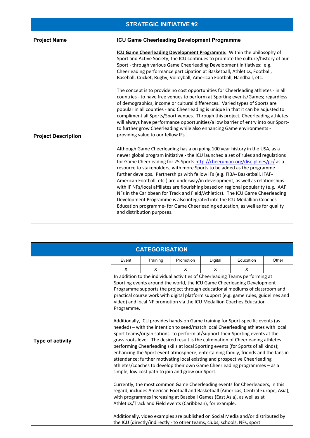|                            | <b>STRATEGIC INITIATIVE #2</b>                                                                                                                                                                                                                                                                                                                                                                                                                                                                                                                                                                                                                                                                                                                                                                                                                                     |
|----------------------------|--------------------------------------------------------------------------------------------------------------------------------------------------------------------------------------------------------------------------------------------------------------------------------------------------------------------------------------------------------------------------------------------------------------------------------------------------------------------------------------------------------------------------------------------------------------------------------------------------------------------------------------------------------------------------------------------------------------------------------------------------------------------------------------------------------------------------------------------------------------------|
| <b>Project Name</b>        | <b>ICU Game Cheerleading Development Programme</b>                                                                                                                                                                                                                                                                                                                                                                                                                                                                                                                                                                                                                                                                                                                                                                                                                 |
|                            | ICU Game Cheerleading Development Programme: Within the philosophy of<br>Sport and Active Society, the ICU continues to promote the culture/history of our<br>Sport - through various Game Cheerleading Development initiatives: e.g.<br>Cheerleading performance participation at Basketball, Athletics, Football,<br>Baseball, Cricket, Rugby, Volleyball, American Football, Handball, etc.                                                                                                                                                                                                                                                                                                                                                                                                                                                                     |
| <b>Project Description</b> | The concept is to provide no cost opportunities for Cheerleading athletes - in all<br>countries - to have free venues to perform at Sporting events/Games; regardless<br>of demographics, income or cultural differences. Varied types of Sports are<br>popular in all counties - and Cheerleading is unique in that it can be adjusted to<br>compliment all Sports/Sport venues. Through this project, Cheerleading athletes<br>will always have performance opportunities/a low barrier of entry into our Sport-<br>to further grow Cheerleading while also enhancing Game environments -<br>providing value to our fellow IFs.                                                                                                                                                                                                                                  |
|                            | Although Game Cheerleading has a on going 100 year history in the USA, as a<br>newer global program initiative - the ICU launched a set of rules and regulations<br>for Game Cheerleading for 25 Sports http://cheerunion.org/disciplines/gc/ as a<br>resource to stakeholders, with more Sports to be added as the programme<br>further develops. Partnerships with fellow IFs (e.g. FIBA- Basketball, IFAF-<br>American Football, etc.) are underway/in development, as well as relationships<br>with IF NFs/local affiliates are flourishing based on regional popularity (e.g. IAAF<br>NFs in the Caribbean for Track and Field/Athletics). The ICU Game Cheerleading<br>Development Programme is also integrated into the ICU Medallion Coaches<br>Education programme- for Game Cheerleading education, as well as for quality<br>and distribution purposes. |

|                  |            | <b>CATEGORISATION</b> |                                                                                                                 |         |                                                                                                                                                                                                                                                                                                                                                                                                                                                                                                                                                                                                                                                                                                                                                                                                                                                                                                                                                                                                                                                                                                                                                                                                                                                                                                                                                                                                                                                                                                                  |       |
|------------------|------------|-----------------------|-----------------------------------------------------------------------------------------------------------------|---------|------------------------------------------------------------------------------------------------------------------------------------------------------------------------------------------------------------------------------------------------------------------------------------------------------------------------------------------------------------------------------------------------------------------------------------------------------------------------------------------------------------------------------------------------------------------------------------------------------------------------------------------------------------------------------------------------------------------------------------------------------------------------------------------------------------------------------------------------------------------------------------------------------------------------------------------------------------------------------------------------------------------------------------------------------------------------------------------------------------------------------------------------------------------------------------------------------------------------------------------------------------------------------------------------------------------------------------------------------------------------------------------------------------------------------------------------------------------------------------------------------------------|-------|
|                  | Event      | Training              | Promotion                                                                                                       | Digital | Education                                                                                                                                                                                                                                                                                                                                                                                                                                                                                                                                                                                                                                                                                                                                                                                                                                                                                                                                                                                                                                                                                                                                                                                                                                                                                                                                                                                                                                                                                                        | Other |
|                  | X          | X                     | X                                                                                                               | X       | X                                                                                                                                                                                                                                                                                                                                                                                                                                                                                                                                                                                                                                                                                                                                                                                                                                                                                                                                                                                                                                                                                                                                                                                                                                                                                                                                                                                                                                                                                                                |       |
| Type of activity | Programme. |                       | simple, low cost path to join and grow our Sport.<br>Athletics/Track and Field events (Caribbean), for example. |         | In addition to the individual activities of Cheerleading Teams performing at<br>Sporting events around the world, the ICU Game Cheerleading Development<br>Programme supports the project through educational mediums of classroom and<br>practical course work with digital platform support (e.g. game rules, guidelines and<br>video) and local NF promotion via the ICU Medallion Coaches Education<br>Additionally, ICU provides hands-on Game training for Sport-specific events (as<br>needed) - with the intention to seed/match local Cheerleading athletes with local<br>Sport teams/organisations -to perform at/support their Sporting events at the<br>grass roots level. The desired result is the culmination of Cheerleading athletes<br>performing Cheerleading skills at local Sporting events (for Sports of all kinds);<br>enhancing the Sport event atmosphere; entertaining family, friends and the fans in<br>attendance; further motivating local existing and prospective Cheerleading<br>athletes/coaches to develop their own Game Cheerleading programmes - as a<br>Currently, the most common Game Cheerleading events for Cheerleaders, in this<br>regard, includes American Football and Basketball (Americas, Central Europe, Asia),<br>with programmes increasing at Baseball Games (East Asia), as well as at<br>Additionally, video examples are published on Social Media and/or distributed by<br>the ICU (directly/indirectly - to other teams, clubs, schools, NFs, sport |       |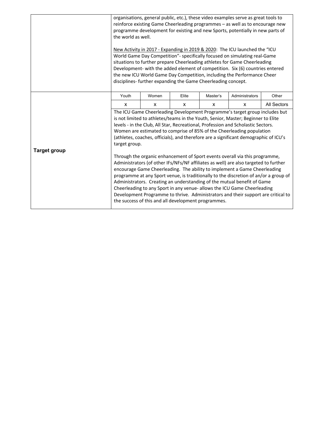|                     | the world as well. |              | disciplines- further expanding the Game Cheerleading concept. |          | organisations, general public, etc.), these video examples serve as great tools to<br>reinforce existing Game Cheerleading programmes - as well as to encourage new<br>programme development for existing and new Sports, potentially in new parts of<br>New Activity in 2017 - Expanding in 2019 & 2020: The ICU launched the "ICU<br>World Game Day Competition"- specifically focused on simulating real-Game<br>situations to further prepare Cheerleading athletes for Game Cheerleading<br>Development- with the added element of competition. Six (6) countries entered<br>the new ICU World Game Day Competition, including the Performance Cheer                                                                                                                                                                                                                                                                                                                                                    |             |
|---------------------|--------------------|--------------|---------------------------------------------------------------|----------|--------------------------------------------------------------------------------------------------------------------------------------------------------------------------------------------------------------------------------------------------------------------------------------------------------------------------------------------------------------------------------------------------------------------------------------------------------------------------------------------------------------------------------------------------------------------------------------------------------------------------------------------------------------------------------------------------------------------------------------------------------------------------------------------------------------------------------------------------------------------------------------------------------------------------------------------------------------------------------------------------------------|-------------|
|                     | Youth              | Women        | Elite                                                         | Master's | Administrators                                                                                                                                                                                                                                                                                                                                                                                                                                                                                                                                                                                                                                                                                                                                                                                                                                                                                                                                                                                               | Other       |
|                     | X                  | $\mathsf{x}$ | X                                                             | X        | X                                                                                                                                                                                                                                                                                                                                                                                                                                                                                                                                                                                                                                                                                                                                                                                                                                                                                                                                                                                                            | All Sectors |
| <b>Target group</b> | target group.      |              | the success of this and all development programmes.           |          | The ICU Game Cheerleading Development Programme's target group includes but<br>is not limited to athletes/teams in the Youth, Senior, Master; Beginner to Elite<br>levels - in the Club, All Star, Recreational, Profession and Scholastic Sectors.<br>Women are estimated to comprise of 85% of the Cheerleading population<br>(athletes, coaches, officials), and therefore are a significant demographic of ICU's<br>Through the organic enhancement of Sport events overall via this programme,<br>Administrators (of other IFs/NFs/NF affiliates as well) are also targeted to further<br>encourage Game Cheerleading. The ability to implement a Game Cheerleading<br>programme at any Sport venue, is traditionally to the discretion of an/or a group of<br>Administrators. Creating an understanding of the mutual benefit of Game<br>Cheerleading to any Sport in any venue- allows the ICU Game Cheerleading<br>Development Programme to thrive. Administrators and their support are critical to |             |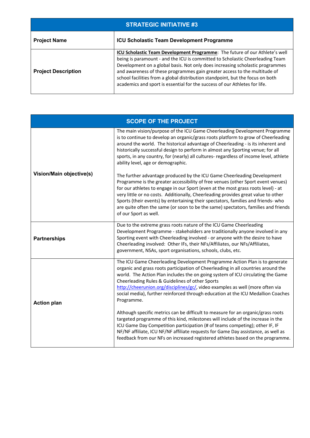| <b>STRATEGIC INITIATIVE #3</b> |                                                                                                                                                                                                                                                                                                                                                                                                                                                                                            |  |  |  |
|--------------------------------|--------------------------------------------------------------------------------------------------------------------------------------------------------------------------------------------------------------------------------------------------------------------------------------------------------------------------------------------------------------------------------------------------------------------------------------------------------------------------------------------|--|--|--|
| <b>Project Name</b>            | <b>ICU Scholastic Team Development Programme</b>                                                                                                                                                                                                                                                                                                                                                                                                                                           |  |  |  |
| <b>Project Description</b>     | ICU Scholastic Team Development Programme: The future of our Athlete's well<br>being is paramount - and the ICU is committed to Scholastic Cheerleading Team<br>Development on a global basis. Not only does increasing scholastic programmes<br>and awareness of these programmes gain greater access to the multitude of<br>school facilities from a global distribution standpoint, but the focus on both<br>academics and sport is essential for the success of our Athletes for life. |  |  |  |

|                          | <b>SCOPE OF THE PROJECT</b>                                                                                                                                                                                                                                                                                                                                                                                                                                                                                                                                                  |
|--------------------------|------------------------------------------------------------------------------------------------------------------------------------------------------------------------------------------------------------------------------------------------------------------------------------------------------------------------------------------------------------------------------------------------------------------------------------------------------------------------------------------------------------------------------------------------------------------------------|
|                          | The main vision/purpose of the ICU Game Cheerleading Development Programme<br>is to continue to develop an organic/grass roots platform to grow of Cheerleading<br>around the world. The historical advantage of Cheerleading - is its inherent and<br>historically successful design to perform in almost any Sporting venue; for all<br>sports, in any country, for (nearly) all cultures- regardless of income level, athlete<br>ability level, age or demographic.                                                                                                       |
| Vision/Main objective(s) | The further advantage produced by the ICU Game Cheerleading Development<br>Programme is the greater accessibility of free venues (other Sport event venues)<br>for our athletes to engage in our Sport (even at the most grass roots level) - at<br>very little or no costs. Additionally, Cheerleading provides great value to other<br>Sports (their events) by entertaining their spectators, families and friends- who<br>are quite often the same (or soon to be the same) spectators, families and friends<br>of our Sport as well.                                    |
| <b>Partnerships</b>      | Due to the extreme grass roots nature of the ICU Game Cheerleading<br>Development Programme - stakeholders are traditionally anyone involved in any<br>Sporting event with Cheerleading involved - or anyone with the desire to have<br>Cheerleading involved: Other IFs, their NFs/Affiliates, our NFs/Affiliates,<br>government, NSAs, sport organisations, schools, clubs, etc.                                                                                                                                                                                           |
| <b>Action plan</b>       | The ICU Game Cheerleading Development Programme Action Plan is to generate<br>organic and grass roots participation of Cheerleading in all countries around the<br>world. The Action Plan includes the on going system of ICU circulating the Game<br>Cheerleading Rules & Guidelines of other Sports<br>http://cheerunion.org/disciplines/gc/, video examples as well (more often via<br>social media), further reinforced through education at the ICU Medallion Coaches<br>Programme.<br>Although specific metrics can be difficult to measure for an organic/grass roots |
|                          | targeted programme of this kind, milestones will include of the increase in the<br>ICU Game Day Competition participation (# of teams competing); other IF, IF<br>NF/NF affiliate, ICU NF/NF affiliate requests for Game Day assistance, as well as<br>feedback from our NFs on increased registered athletes based on the programme.                                                                                                                                                                                                                                        |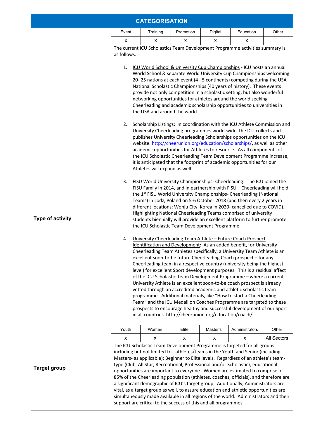|                         | <b>CATEGORISATION</b>                                                                                                                                                                                                                                                                                                                                                                                                                                                                                                                                                                                |                                                                                                                                                                                                                                                                                                                                                                                                                                                                                                                                                            |                                                                 |          |                                                                                                                                                                                                                                                                                                                                                                                                                                                                                                                                                                                                                                                                                                                                                                                                                                                                                             |             |
|-------------------------|------------------------------------------------------------------------------------------------------------------------------------------------------------------------------------------------------------------------------------------------------------------------------------------------------------------------------------------------------------------------------------------------------------------------------------------------------------------------------------------------------------------------------------------------------------------------------------------------------|------------------------------------------------------------------------------------------------------------------------------------------------------------------------------------------------------------------------------------------------------------------------------------------------------------------------------------------------------------------------------------------------------------------------------------------------------------------------------------------------------------------------------------------------------------|-----------------------------------------------------------------|----------|---------------------------------------------------------------------------------------------------------------------------------------------------------------------------------------------------------------------------------------------------------------------------------------------------------------------------------------------------------------------------------------------------------------------------------------------------------------------------------------------------------------------------------------------------------------------------------------------------------------------------------------------------------------------------------------------------------------------------------------------------------------------------------------------------------------------------------------------------------------------------------------------|-------------|
|                         | Promotion<br>Education<br>Event<br>Training<br>Digital                                                                                                                                                                                                                                                                                                                                                                                                                                                                                                                                               |                                                                                                                                                                                                                                                                                                                                                                                                                                                                                                                                                            |                                                                 |          |                                                                                                                                                                                                                                                                                                                                                                                                                                                                                                                                                                                                                                                                                                                                                                                                                                                                                             | Other       |
|                         | х                                                                                                                                                                                                                                                                                                                                                                                                                                                                                                                                                                                                    | х                                                                                                                                                                                                                                                                                                                                                                                                                                                                                                                                                          | x                                                               | x        | х                                                                                                                                                                                                                                                                                                                                                                                                                                                                                                                                                                                                                                                                                                                                                                                                                                                                                           |             |
|                         | The current ICU Scholastics Team Development Programme activities summary is<br>as follows:                                                                                                                                                                                                                                                                                                                                                                                                                                                                                                          |                                                                                                                                                                                                                                                                                                                                                                                                                                                                                                                                                            |                                                                 |          |                                                                                                                                                                                                                                                                                                                                                                                                                                                                                                                                                                                                                                                                                                                                                                                                                                                                                             |             |
|                         | 1.                                                                                                                                                                                                                                                                                                                                                                                                                                                                                                                                                                                                   | ICU World School & University Cup Championships - ICU hosts an annual<br>World School & separate World University Cup Championships welcoming<br>20-25 nations at each event (4 - 5 continents) competing during the USA<br>National Scholastic Championships (40 years of history). These events<br>provide not only competition in a scholastic setting, but also wonderful<br>networking opportunities for athletes around the world seeking<br>Cheerleading and academic scholarship opportunities to universities in<br>the USA and around the world. |                                                                 |          |                                                                                                                                                                                                                                                                                                                                                                                                                                                                                                                                                                                                                                                                                                                                                                                                                                                                                             |             |
|                         | 2.                                                                                                                                                                                                                                                                                                                                                                                                                                                                                                                                                                                                   | Athletes will expand as well.                                                                                                                                                                                                                                                                                                                                                                                                                                                                                                                              |                                                                 |          | Scholarship Listings: In coordination with the ICU Athlete Commission and<br>University Cheerleading programmes world-wide, the ICU collects and<br>publishes University Cheerleading Scholarships opportunities on the ICU<br>website: http://cheerunion.org/education/scholarships/, as well as other<br>academic opportunities for Athletes to resource. As all components of<br>the ICU Scholastic Cheerleading Team Development Programme increase,<br>it is anticipated that the footprint of academic opportunities for our                                                                                                                                                                                                                                                                                                                                                          |             |
| <b>Type of activity</b> | 3.<br>FISU World University Championships- Cheerleading: The ICU joined the<br>FISU Family in 2014, and in partnership with FISU - Cheerleading will hold<br>the 1 <sup>st</sup> FISU World University Championships- Cheerleading (National<br>Teams) in Lodz, Poland on 5-6 October 2018 (and then every 2 years in<br>different locations; Wonju City, Korea in 2020- cancelled due to COVID).<br>Highlighting National Cheerleading Teams comprised of university<br>students biennially will provide an excellent platform to further promote<br>the ICU Scholastic Team Development Programme. |                                                                                                                                                                                                                                                                                                                                                                                                                                                                                                                                                            |                                                                 |          |                                                                                                                                                                                                                                                                                                                                                                                                                                                                                                                                                                                                                                                                                                                                                                                                                                                                                             |             |
|                         | 4.                                                                                                                                                                                                                                                                                                                                                                                                                                                                                                                                                                                                   |                                                                                                                                                                                                                                                                                                                                                                                                                                                                                                                                                            | in all countries. http://cheerunion.org/education/coach/        |          | University Cheerleading Team Athlete - Future Coach Prospect<br>Identification and Development: As an added benefit, for University<br>Cheerleading Team Athletes specifically, a University Team Athlete is an<br>excellent soon-to-be future Cheerleading Coach prospect - for any<br>Cheerleading team in a respective country (university being the highest<br>level) for excellent Sport development purposes. This is a residual affect<br>of the ICU Scholastic Team Development Programme - where a current<br>University Athlete is an excellent soon-to-be coach prospect is already<br>vetted through an accredited academic and athletic scholastic team<br>programme. Additional materials, like "How to start a Cheerleading<br>Team" and the ICU Medallion Coaches Programme are targeted to these<br>prospects to encourage healthy and successful development of our Sport |             |
|                         | Youth                                                                                                                                                                                                                                                                                                                                                                                                                                                                                                                                                                                                | Women                                                                                                                                                                                                                                                                                                                                                                                                                                                                                                                                                      | Elite                                                           | Master's | Administrators                                                                                                                                                                                                                                                                                                                                                                                                                                                                                                                                                                                                                                                                                                                                                                                                                                                                              | Other       |
|                         | x                                                                                                                                                                                                                                                                                                                                                                                                                                                                                                                                                                                                    | X                                                                                                                                                                                                                                                                                                                                                                                                                                                                                                                                                          | x                                                               | x        | X                                                                                                                                                                                                                                                                                                                                                                                                                                                                                                                                                                                                                                                                                                                                                                                                                                                                                           | All Sectors |
| <b>Target group</b>     |                                                                                                                                                                                                                                                                                                                                                                                                                                                                                                                                                                                                      |                                                                                                                                                                                                                                                                                                                                                                                                                                                                                                                                                            | support are critical to the success of this and all programmes. |          | The ICU Scholastic Team Development Programme is targeted for all groups<br>including but not limited to - athletes/teams in the Youth and Senior (including<br>Masters- as applicable); Beginner to Elite levels. Regardless of an athlete's team-<br>type (Club, All Star, Recreational, Professional and/or Scholastic), educational<br>opportunities are important to everyone. Women are estimated to comprise of<br>85% of the Cheerleading population (athletes, coaches, officials), and therefore are<br>a significant demographic of ICU's target group. Additionally, Administrators are<br>vital, as a target group as well, to assure education and athletic opportunities are<br>simultaneously made available in all regions of the world. Administrators and their                                                                                                          |             |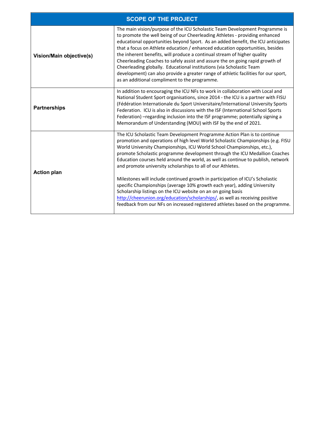|                                 | <b>SCOPE OF THE PROJECT</b>                                                                                                                                                                                                                                                                                                                                                                                                                                                                                                                                                                                                                                                                                                                                                                                                                                            |
|---------------------------------|------------------------------------------------------------------------------------------------------------------------------------------------------------------------------------------------------------------------------------------------------------------------------------------------------------------------------------------------------------------------------------------------------------------------------------------------------------------------------------------------------------------------------------------------------------------------------------------------------------------------------------------------------------------------------------------------------------------------------------------------------------------------------------------------------------------------------------------------------------------------|
| <b>Vision/Main objective(s)</b> | The main vision/purpose of the ICU Scholastic Team Development Programme is<br>to promote the well being of our Cheerleading Athletes - providing enhanced<br>educational opportunities beyond Sport. As an added benefit, the ICU anticipates<br>that a focus on Athlete education / enhanced education opportunities, besides<br>the inherent benefits, will produce a continual stream of higher quality<br>Cheerleading Coaches to safely assist and assure the on going rapid growth of<br>Cheerleading globally. Educational institutions (via Scholastic Team<br>development) can also provide a greater range of athletic facilities for our sport,<br>as an additional compliment to the programme.                                                                                                                                                           |
| <b>Partnerships</b>             | In addition to encouraging the ICU NFs to work in collaboration with Local and<br>National Student Sport organisations, since 2014 - the ICU is a partner with FISU<br>(Fédération Internationale du Sport Universitaire/International University Sports<br>Federation. ICU is also in discussions with the ISF (International School Sports<br>Federation) - regarding inclusion into the ISF programme; potentially signing a<br>Memorandum of Understanding (MOU) with ISF by the end of 2021.                                                                                                                                                                                                                                                                                                                                                                      |
| <b>Action plan</b>              | The ICU Scholastic Team Development Programme Action Plan is to continue<br>promotion and operations of high level World Scholastic Championships (e.g. FISU<br>World University Championships, ICU World School Championships, etc.),<br>promote Scholastic programme development through the ICU Medallion Coaches<br>Education courses held around the world, as well as continue to publish, network<br>and promote university scholarships to all of our Athletes.<br>Milestones will include continued growth in participation of ICU's Scholastic<br>specific Championships (average 10% growth each year), adding University<br>Scholarship listings on the ICU website on an on going basis<br>http://cheerunion.org/education/scholarships/, as well as receiving positive<br>feedback from our NFs on increased registered athletes based on the programme. |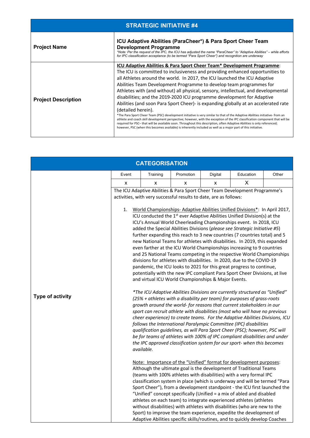| <b>STRATEGIC INITIATIVE #4</b> |                                                                                                                                                                                                                                                                                                                                                                                                                                                                                                                                                                                                                                                                                                                                                                                                                                                                                                                                                                                                                                                                                                                    |  |  |  |
|--------------------------------|--------------------------------------------------------------------------------------------------------------------------------------------------------------------------------------------------------------------------------------------------------------------------------------------------------------------------------------------------------------------------------------------------------------------------------------------------------------------------------------------------------------------------------------------------------------------------------------------------------------------------------------------------------------------------------------------------------------------------------------------------------------------------------------------------------------------------------------------------------------------------------------------------------------------------------------------------------------------------------------------------------------------------------------------------------------------------------------------------------------------|--|--|--|
| <b>Project Name</b>            | ICU Adaptive Abilities (ParaCheer*) & Para Sport Cheer Team<br><b>Development Programme</b><br>*Note: Per the request of the IPC, the ICU has adjusted the name "ParaCheer" to "Adaptive Abilities" – while efforts<br>for IPC classification acceptance (to be termed "Para Sport Cheer") and recognition are underway                                                                                                                                                                                                                                                                                                                                                                                                                                                                                                                                                                                                                                                                                                                                                                                            |  |  |  |
| <b>Project Description</b>     | <b>ICU Adaptive Abilities &amp; Para Sport Cheer Team* Development Programme:</b><br>The ICU is committed to inclusiveness and providing enhanced opportunities to<br>all Athletes around the world. In 2017, the ICU launched the ICU Adaptive<br>Abilities Team Development Programme to develop team programmes for<br>Athletes with (and without) all physical, sensory, intellectual, and developmental<br>disabilities; and the 2019-2020 ICU programme development for Adaptive<br>Abilities (and soon Para Sport Cheer)- is expanding globally at an accelerated rate<br>(detailed herein).<br>*The Para Sport Cheer Team (PSC) development initiative is very similar to that of the Adaptive Abilities initiative- from an<br>athlete and coach skill development perspective; however, with the exception of the IPC classification component that will be<br>required for PSC- that will be available soon. Throughout this description, often Adaptive Abilities is only referenced;<br>however, PSC (when this becomes available) is inherently included as well as a major part of this initiative. |  |  |  |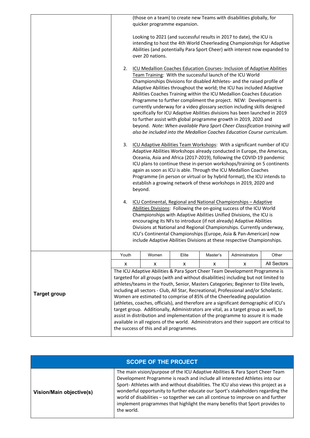|                     |       | quicker programme expansion.                 |       |          | (those on a team) to create new Teams with disabilities globally, for                                                                                                                                                                                                                                                                                                                                                                                                                                                                                                                                                                                                                                                                                                                                                               |                    |
|---------------------|-------|----------------------------------------------|-------|----------|-------------------------------------------------------------------------------------------------------------------------------------------------------------------------------------------------------------------------------------------------------------------------------------------------------------------------------------------------------------------------------------------------------------------------------------------------------------------------------------------------------------------------------------------------------------------------------------------------------------------------------------------------------------------------------------------------------------------------------------------------------------------------------------------------------------------------------------|--------------------|
|                     |       | over 20 nations.                             |       |          | Looking to 2021 (and successful results in 2017 to date), the ICU is<br>intending to host the 4th World Cheerleading Championships for Adaptive<br>Abilities (and potentially Para Sport Cheer) with interest now expanded to                                                                                                                                                                                                                                                                                                                                                                                                                                                                                                                                                                                                       |                    |
|                     | 2.    |                                              |       |          | ICU Medallion Coaches Education Courses- Inclusion of Adaptive Abilities<br>Team Training: With the successful launch of the ICU World<br>Championships Divisions for disabled Athletes- and the raised profile of<br>Adaptive Abilities throughout the world; the ICU has included Adaptive<br>Abilities Coaches Training within the ICU Medallion Coaches Education<br>Programme to further compliment the project. NEW: Development is<br>currently underway for a video glossary section including skills designed<br>specifically for ICU Adaptive Abilities divisions has been launched in 2019<br>to further assist with global programme growth in 2019, 2020 and<br>beyond. Note: When available Para Sport Cheer Classification training will<br>also be included into the Medallion Coaches Education Course curriculum. |                    |
|                     | 3.    | beyond.                                      |       |          | ICU Adaptive Abilities Team Workshops: With a significant number of ICU<br>Adaptive Abilities Workshops already conducted in Europe, the Americas,<br>Oceania, Asia and Africa (2017-2019), following the COVID-19 pandemic<br>ICU plans to continue these in-person workshops/training on 5 continents<br>again as soon as ICU is able. Through the ICU Medallion Coaches<br>Programme (in person or virtual or by hybrid format), the ICU intends to<br>establish a growing network of these workshops in 2019, 2020 and                                                                                                                                                                                                                                                                                                          |                    |
|                     | 4.    |                                              |       |          | ICU Continental, Regional and National Championships - Adaptive<br>Abilities Divisions: Following the on-going success of the ICU World<br>Championships with Adaptive Abilities Unified Divisions, the ICU is<br>encouraging its NFs to introduce (if not already) Adaptive Abilities<br>Divisions at National and Regional Championships. Currently underway,<br>ICU's Continental Championships (Europe, Asia & Pan-American) now<br>include Adaptive Abilities Divisions at these respective Championships.                                                                                                                                                                                                                                                                                                                     |                    |
|                     | Youth | Women                                        | Elite | Master's | Administrators                                                                                                                                                                                                                                                                                                                                                                                                                                                                                                                                                                                                                                                                                                                                                                                                                      | Other              |
| <b>Target group</b> | x     | x<br>the success of this and all programmes. | X.    | x        | x<br>The ICU Adaptive Abilities & Para Sport Cheer Team Development Programme is<br>targeted for all groups (with and without disabilities) including but not limited to<br>athletes/teams in the Youth, Senior, Masters Categories; Beginner to Elite levels,<br>including all sectors - Club, All Star, Recreational, Professional and/or Scholastic.<br>Women are estimated to comprise of 85% of the Cheerleading population<br>(athletes, coaches, officials), and therefore are a significant demographic of ICU's<br>target group. Additionally, Administrators are vital, as a target group as well, to<br>assist in distribution and implementation of the programme to assure it is made<br>available in all regions of the world. Administrators and their support are critical to                                       | <b>All Sectors</b> |

| <b>SCOPE OF THE PROJECT</b> |                                                                                                                                                                                                                                                                                                                                                                                                                                                                                                                          |  |  |  |
|-----------------------------|--------------------------------------------------------------------------------------------------------------------------------------------------------------------------------------------------------------------------------------------------------------------------------------------------------------------------------------------------------------------------------------------------------------------------------------------------------------------------------------------------------------------------|--|--|--|
| Vision/Main objective(s)    | The main vision/purpose of the ICU Adaptive Abilities & Para Sport Cheer Team<br>Development Programme is reach and include all interested Athletes into our<br>Sport-Athletes with and without disabilities. The ICU also views this project as a<br>wonderful opportunity to further educate our Sport's stakeholders regarding the<br>world of disabilities - so together we can all continue to improve on and further<br>implement programmes that highlight the many benefits that Sport provides to<br>the world. |  |  |  |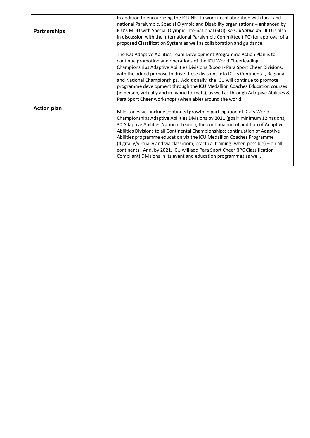| <b>Partnerships</b> | In addition to encouraging the ICU NFs to work in collaboration with local and<br>national Paralympic, Special Olympic and Disability organisations - enhanced by<br>ICU's MOU with Special Olympic International (SOI)- see initiative #5. ICU is also<br>in discussion with the International Paralympic Committee (IPC) for approval of a<br>proposed Classification System as well as collaboration and guidance.                                                                                                                                                                                                                                                                                                                                                                                                                                                                                                                                                                                                                                                                                                                                                                                                                                                                    |
|---------------------|------------------------------------------------------------------------------------------------------------------------------------------------------------------------------------------------------------------------------------------------------------------------------------------------------------------------------------------------------------------------------------------------------------------------------------------------------------------------------------------------------------------------------------------------------------------------------------------------------------------------------------------------------------------------------------------------------------------------------------------------------------------------------------------------------------------------------------------------------------------------------------------------------------------------------------------------------------------------------------------------------------------------------------------------------------------------------------------------------------------------------------------------------------------------------------------------------------------------------------------------------------------------------------------|
| <b>Action plan</b>  | The ICU Adaptive Abilities Team Development Programme Action Plan is to<br>continue promotion and operations of the ICU World Cheerleading<br>Championships Adaptive Abilities Divisions & soon- Para Sport Cheer Divisions;<br>with the added purpose to drive these divisions into ICU's Continental, Regional<br>and National Championships. Additionally, the ICU will continue to promote<br>programme development through the ICU Medallion Coaches Education courses<br>(in person, virtually and in hybrid formats), as well as through Adatpive Abilities &<br>Para Sport Cheer workshops (when able) around the world.<br>Milestones will include continued growth in participation of ICU's World<br>Championships Adaptive Abilities Divisions by 2021 (goal= minimum 12 nations,<br>30 Adaptive Abilities National Teams); the continuation of addition of Adaptive<br>Abilities Divisions to all Continental Championships; continuation of Adaptive<br>Abilities programme education via the ICU Medallion Coaches Programme<br>(digitally/virtually and via classroom, practical training- when possible) - on all<br>continents. And, by 2021, ICU will add Para Sport Cheer (IPC Classification<br>Compliant) Divisions in its event and education programmes as well. |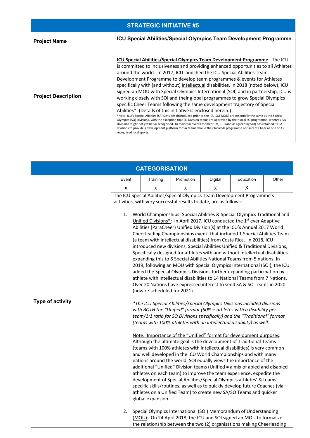| <b>STRATEGIC INITIATIVE #5</b> |                                                                                                                                                                                                                                                                                                                                                                                                                                                                                                                                                                                                                                                                                                                                                                                                                                                                                                                                                                                                                                                                                                                                                                                                                                                                                      |  |  |  |
|--------------------------------|--------------------------------------------------------------------------------------------------------------------------------------------------------------------------------------------------------------------------------------------------------------------------------------------------------------------------------------------------------------------------------------------------------------------------------------------------------------------------------------------------------------------------------------------------------------------------------------------------------------------------------------------------------------------------------------------------------------------------------------------------------------------------------------------------------------------------------------------------------------------------------------------------------------------------------------------------------------------------------------------------------------------------------------------------------------------------------------------------------------------------------------------------------------------------------------------------------------------------------------------------------------------------------------|--|--|--|
| <b>Project Name</b>            | <b>ICU Special Abilities/Special Olympics Team Development Programme</b>                                                                                                                                                                                                                                                                                                                                                                                                                                                                                                                                                                                                                                                                                                                                                                                                                                                                                                                                                                                                                                                                                                                                                                                                             |  |  |  |
| <b>Project Description</b>     | <b>ICU Special Abilities/Special Olympics Team Development Programme:</b> The ICU<br>is committed to inclusiveness and providing enhanced opportunities to all Athletes<br>around the world. In 2017, ICU launched the ICU Special Abilities Team<br>Development Programme to develop team programmes & events for Athletes<br>specifically with (and without) intellectual disabilities. In 2018 (noted below), ICU<br>signed an MOU with Special Olympics International (SOI) and in partnership, ICU is<br>working closely with SOI and their global programmes to grow Special Olympics<br>specific Cheer Teams following the same development trajectory of Special<br>Abilities*. (Details of this initiative is enclosed herein.)<br>*Note: ICU's Special Abilities (SA) Divisions (introduced prior to the ICU-SOI MOU) are essentially the same as the Special<br>Olympics (SO) Divisions, with the exception that SO Division teams are approved by their local SO programme; whereas, SA<br>Divisions might not yet be SO recognised. To maintain overall momentum, ICU (and as agreed by SOI) has retained its SA<br>divisions to provide a development platform for SA teams should their local SO programme not accept Cheer as one of its<br>recognised local sports. |  |  |  |

|                  |          | <b>CATEGORISATION</b>                             |                                                                   |         |                                                                                                                                                                                                                                                                                                                                                                                                                                                                                                                                                                                                                                                                                                                                                                                                                                                                                                                                                                                                                                                                                                                                                                                                                                                                                                                                                                                                                                                                                                                                                                                                                                                                                                                                                                                                                                                                                                                                                                                                                                                                                                                                                                                                                                                                                                            |       |
|------------------|----------|---------------------------------------------------|-------------------------------------------------------------------|---------|------------------------------------------------------------------------------------------------------------------------------------------------------------------------------------------------------------------------------------------------------------------------------------------------------------------------------------------------------------------------------------------------------------------------------------------------------------------------------------------------------------------------------------------------------------------------------------------------------------------------------------------------------------------------------------------------------------------------------------------------------------------------------------------------------------------------------------------------------------------------------------------------------------------------------------------------------------------------------------------------------------------------------------------------------------------------------------------------------------------------------------------------------------------------------------------------------------------------------------------------------------------------------------------------------------------------------------------------------------------------------------------------------------------------------------------------------------------------------------------------------------------------------------------------------------------------------------------------------------------------------------------------------------------------------------------------------------------------------------------------------------------------------------------------------------------------------------------------------------------------------------------------------------------------------------------------------------------------------------------------------------------------------------------------------------------------------------------------------------------------------------------------------------------------------------------------------------------------------------------------------------------------------------------------------------|-------|
|                  | Event    | Training                                          | Promotion                                                         | Digital | Education                                                                                                                                                                                                                                                                                                                                                                                                                                                                                                                                                                                                                                                                                                                                                                                                                                                                                                                                                                                                                                                                                                                                                                                                                                                                                                                                                                                                                                                                                                                                                                                                                                                                                                                                                                                                                                                                                                                                                                                                                                                                                                                                                                                                                                                                                                  | Other |
|                  | X        | X                                                 | x                                                                 | X       | X                                                                                                                                                                                                                                                                                                                                                                                                                                                                                                                                                                                                                                                                                                                                                                                                                                                                                                                                                                                                                                                                                                                                                                                                                                                                                                                                                                                                                                                                                                                                                                                                                                                                                                                                                                                                                                                                                                                                                                                                                                                                                                                                                                                                                                                                                                          |       |
| Type of activity | 1.<br>2. | (now re-scheduled for 2021).<br>global expansion. | activities, with very successful results to date, are as follows: |         | The ICU Special Abilities/Special Olympics Team Development Programme's<br>World Championships- Special Abilities & Special Olympics Traditional and<br>Unified Divisions*: In April 2017, ICU conducted the 1st ever Adaptive<br>Abilities (ParaCheer) Unified Division(s) at the ICU's Annual 2017 World<br>Cheerleading Championships event-that included 1 Special Abilities Team<br>(a team with intellectual disabilities) from Costa Rica. In 2018, ICU<br>introduced new divisions, Special Abilities Unified & Traditional Divisions,<br>Specifically designed for athletes with and without intellectual disabilities-<br>expanding this to 6 Special Abilities National Teams from 5 nations. In<br>2019, following an MOU with Special Olympics International (SOI), the ICU<br>added the Special Olympics Divisions further expanding participation by<br>athlete with intellectual disabilities to 14 National Teams from 7 Nations.<br>Over 20 Nations have expressed interest to send SA & SO Teams in 2020<br>*The ICU Special Abilities/Special Olympics Divisions included divisions<br>with BOTH the "Unified" format (50% + athletes with a disability per<br>team/1:1 ratio for SO Divisions specifically) and the "Traditional" format<br>(teams with 100% athletes with an intellectual disability) as well.<br>Note: Importance of the "Unified" format for development purposes:<br>Although the ultimate goal is the development of Traditional Teams<br>(teams with 100% athletes with intellectual disabilities) is very common<br>and well developed in the ICU World Championships and with many<br>nations around the world, SOI equally views the importance of the<br>additional "Unified" Division teams (Unified = a mix of abled and disabled<br>athletes on each team) to improve the team experience, expedite the<br>development of Special Abilities/Special Olympics athletes' & teams'<br>specific skills/routines, as well as to quickly develop future Coaches (via<br>athletes on a Unified Team) to create new SA/SO Teams and quicker<br>Special Olympics International (SOI) Memorandum of Understanding<br>(MOU): On 24 April 2018, the ICU and SOI signed an MOU to formalize<br>the relationship between the two (2) organisations making Cheerleading |       |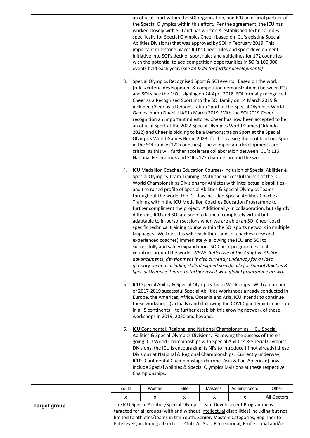|                     | 3.    |                |                                     |          | an official sport within the SOI organisation, and ICU an official partner of<br>the Special Olympics within this effort. Per the agreement, the ICU has<br>worked closely with SOI and has written & established technical rules<br>specifically for Special Olympics Cheer (based on ICU's existing Special<br>Abilities Divisions) that was approved by SOI in February 2019. This<br>important milestone places ICU's Cheer rules and sport development<br>initiative into SOI's deck of sport rules and guidelines for 172 countries<br>with the potential to add competition opportunities in SOI's 100,000<br>events held each year. (see #3 & #4 for further developments)<br>Special Olympics Recognised Sport & SOI events: Based on the work<br>(rules/criteria development & competition demonstrations) between ICU<br>and SOI since the MOU signing on 24 April 2018, SOI formally recognised<br>Cheer as a Recognised Sport into the SOI family on 14 March 2019 &<br>included Cheer as a Demonstration Sport at the Special Olympics World<br>Games in Abu Dhabi, UAE in March 2019. With the SOI 2019 Cheer<br>recognition an important milestone, Cheer has now been accepted to be<br>an official Sport at the 2022 Special Olympics World Games (Orlando<br>2022) and Cheer is bidding to be a Demonstration Sport at the Special<br>Olympics World Games Berlin 2023- further raising the profile of our Sport<br>in the SOI Family (172 countries). These important developments are<br>critical as this will further accelerate collaboration between ICU's 116<br>National Federations and SOI's 172 chapters around the world. |             |
|---------------------|-------|----------------|-------------------------------------|----------|---------------------------------------------------------------------------------------------------------------------------------------------------------------------------------------------------------------------------------------------------------------------------------------------------------------------------------------------------------------------------------------------------------------------------------------------------------------------------------------------------------------------------------------------------------------------------------------------------------------------------------------------------------------------------------------------------------------------------------------------------------------------------------------------------------------------------------------------------------------------------------------------------------------------------------------------------------------------------------------------------------------------------------------------------------------------------------------------------------------------------------------------------------------------------------------------------------------------------------------------------------------------------------------------------------------------------------------------------------------------------------------------------------------------------------------------------------------------------------------------------------------------------------------------------------------------------------------------------------------------------------------------------------|-------------|
|                     |       |                |                                     |          | 4. ICU Medallion Coaches Education Courses-Inclusion of Special Abilities &<br>Special Olympics Team Training: With the successful launch of the ICU<br>World Championships Divisions for Athletes with intellectual disabilities -<br>and the raised profile of Special Abilities & Special Olympics Teams<br>throughout the world; the ICU has included Special Abilities Coaches<br>Training within the ICU Medallion Coaches Education Programme to<br>further compliment the project. Additionally- in collaboration, but slightly<br>different, ICU and SOI are soon to launch (completely virtual but<br>adaptable to in-person sessions when we are able) an SOI Cheer coach<br>specific technical training course within the SOI sports network in multiple<br>languages. We trust this will reach thousands of coaches (new and<br>experienced coaches) immediately- allowing the ICU and SOI to<br>successfully and safely expand more SO Cheer programmes in all<br>countries around the world. NEW: Reflective of the Adaptive Abilities<br>advancements, development is also currently underway for a video<br>glossary section including skills designed specifically for Special Abilities &<br>Special Olympics Teams to further assist with global programme growth.                                                                                                                                                                                                                                                                                                                                                                  |             |
|                     | 5.    |                | workshops in 2019, 2020 and beyond. |          | ICU Special Ability & Special Olympics Team Workshops: With a number<br>of 2017-2019 successful Special Abilities Workshops already conducted in<br>Europe, the Americas, Africa, Oceania and Asia, ICU intends to continue<br>these workshops (virtually) and (following the COVID pandemic) in person<br>in all 5 continents - to further establish this growing network of these                                                                                                                                                                                                                                                                                                                                                                                                                                                                                                                                                                                                                                                                                                                                                                                                                                                                                                                                                                                                                                                                                                                                                                                                                                                                     |             |
|                     | 6.    | Championships. |                                     |          | ICU Continental, Regional and National Championships - ICU Special<br>Abilities & Special Olympics Divisions: Following the success of the on-<br>going ICU World Championships with Special Abilities & Special Olympics<br>Divisions, the ICU is encouraging its NFs to introduce (if not already) these<br>Divisions at National & Regional Championships. Currently underway,<br>ICU's Continental Championships (Europe, Asia & Pan-American) now<br>include Special Abilities & Special Olympics Divisions at these respective                                                                                                                                                                                                                                                                                                                                                                                                                                                                                                                                                                                                                                                                                                                                                                                                                                                                                                                                                                                                                                                                                                                    |             |
|                     | Youth | Women          | Elite                               | Master's | Administrators                                                                                                                                                                                                                                                                                                                                                                                                                                                                                                                                                                                                                                                                                                                                                                                                                                                                                                                                                                                                                                                                                                                                                                                                                                                                                                                                                                                                                                                                                                                                                                                                                                          | Other       |
|                     | X     | x              | x                                   | x        | x                                                                                                                                                                                                                                                                                                                                                                                                                                                                                                                                                                                                                                                                                                                                                                                                                                                                                                                                                                                                                                                                                                                                                                                                                                                                                                                                                                                                                                                                                                                                                                                                                                                       | All Sectors |
| <b>Target group</b> |       |                |                                     |          | The ICU Special Abilities/Special Olympic Team Development Programme is<br>targeted for all groups (with and without intellectual disabilities) including but not<br>limited to athletes/teams in the Youth, Senior, Masters Categories; Beginner to<br>Elite levels, including all sectors - Club, All Star, Recreational, Professional and/or                                                                                                                                                                                                                                                                                                                                                                                                                                                                                                                                                                                                                                                                                                                                                                                                                                                                                                                                                                                                                                                                                                                                                                                                                                                                                                         |             |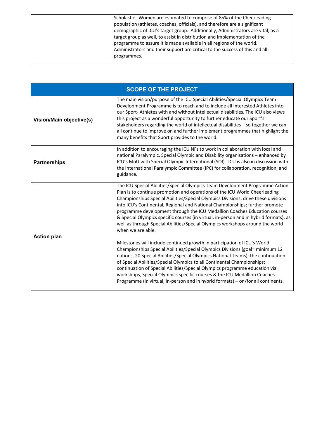| Scholastic. Women are estimated to comprise of 85% of the Cheerleading          |
|---------------------------------------------------------------------------------|
| population (athletes, coaches, officials), and therefore are a significant      |
| demographic of ICU's target group. Additionally, Administrators are vital, as a |
| target group as well, to assist in distribution and implementation of the       |
| programme to assure it is made available in all regions of the world.           |
| Administrators and their support are critical to the success of this and all    |
| programmes.                                                                     |
|                                                                                 |

|                          | <b>SCOPE OF THE PROJECT</b>                                                                                                                                                                                                                                                                                                                                                                                                                                                                                                                                                                                                                                                                                                                                                                                                                                                                                                                                                                                                                                                                                                                                                          |
|--------------------------|--------------------------------------------------------------------------------------------------------------------------------------------------------------------------------------------------------------------------------------------------------------------------------------------------------------------------------------------------------------------------------------------------------------------------------------------------------------------------------------------------------------------------------------------------------------------------------------------------------------------------------------------------------------------------------------------------------------------------------------------------------------------------------------------------------------------------------------------------------------------------------------------------------------------------------------------------------------------------------------------------------------------------------------------------------------------------------------------------------------------------------------------------------------------------------------|
| Vision/Main objective(s) | The main vision/purpose of the ICU Special Abilities/Special Olympics Team<br>Development Programme is to reach and to include all interested Athletes into<br>our Sport-Athletes with and without intellectual disabilities. The ICU also views<br>this project as a wonderful opportunity to further educate our Sport's<br>stakeholders regarding the world of intellectual disabilities $-$ so together we can<br>all continue to improve on and further implement programmes that highlight the<br>many benefits that Sport provides to the world.                                                                                                                                                                                                                                                                                                                                                                                                                                                                                                                                                                                                                              |
| <b>Partnerships</b>      | In addition to encouraging the ICU NFs to work in collaboration with local and<br>national Paralympic, Special Olympic and Disability organisations - enhanced by<br>ICU's MoU with Special Olympic International (SOI). ICU is also in discussion with<br>the International Paralympic Committee (IPC) for collaboration, recognition, and<br>guidance.                                                                                                                                                                                                                                                                                                                                                                                                                                                                                                                                                                                                                                                                                                                                                                                                                             |
| <b>Action plan</b>       | The ICU Special Abilities/Special Olympics Team Development Programme Action<br>Plan is to continue promotion and operations of the ICU World Cheerleading<br>Championships Special Abilities/Special Olympics Divisions; drive these divisions<br>into ICU's Continental, Regional and National Championships; further promote<br>programme development through the ICU Medallion Coaches Education courses<br>& Special Olympics specific courses (in virtual, in-person and in hybrid formats), as<br>well as through Special Abilities/Special Olympics workshops around the world<br>when we are able.<br>Milestones will include continued growth in participation of ICU's World<br>Championships Special Abilities/Special Olympics Divisions (goal= minimum 12<br>nations, 20 Special Abilities/Special Olympics National Teams); the continuation<br>of Special Abilities/Special Olympics to all Continental Championships;<br>continuation of Special Abilities/Special Olympics programme education via<br>workshops, Special Olympics specific courses & the ICU Medallion Coaches<br>Programme (in virtual, in-person and in hybrid formats) - on/for all continents. |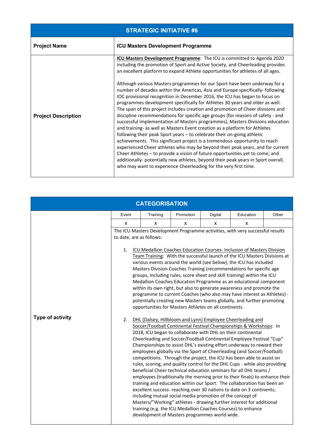| <b>STRATEGIC INITIATIVE #6</b> |                                                                                                                                                                                                                                                                                                                                                                                                                                                                                                                                                                                                                                                                                                                                                                                                                                                                                                                                                                                                                                                                                                                                                                                                                                                                                                                                                                                                              |  |  |  |  |
|--------------------------------|--------------------------------------------------------------------------------------------------------------------------------------------------------------------------------------------------------------------------------------------------------------------------------------------------------------------------------------------------------------------------------------------------------------------------------------------------------------------------------------------------------------------------------------------------------------------------------------------------------------------------------------------------------------------------------------------------------------------------------------------------------------------------------------------------------------------------------------------------------------------------------------------------------------------------------------------------------------------------------------------------------------------------------------------------------------------------------------------------------------------------------------------------------------------------------------------------------------------------------------------------------------------------------------------------------------------------------------------------------------------------------------------------------------|--|--|--|--|
| <b>Project Name</b>            | <b>ICU Masters Development Programme</b>                                                                                                                                                                                                                                                                                                                                                                                                                                                                                                                                                                                                                                                                                                                                                                                                                                                                                                                                                                                                                                                                                                                                                                                                                                                                                                                                                                     |  |  |  |  |
| <b>Project Description</b>     | <b>ICU Masters Development Programme:</b> The ICU is committed to Agenda 2020<br>including the promotion of Sport and Active Society, and Cheerleading provides<br>an excellent platform to expand Athlete opportunities for athletes of all ages.<br>Although various Masters programmes for our Sport have been underway for a<br>number of decades within the Americas, Asia and Europe specifically- following<br>IOC provisional recognition in December 2016, the ICU has began to focus on<br>programmes development specifically for Athletes 30 years and older as well.<br>The span of this project includes creation and promotion of Cheer divisions and<br>discipline recommendations for specific age groups (for reasons of safety - and<br>successful implementation of Masters programmes), Masters Divisions education<br>and training- as well as Masters Event creation as a platform for Athletes<br>following their peak Sport years – to celebrate their on-going athletic<br>achievements. This significant project is a tremendous opportunity to reach<br>experienced Cheer athletes who may be beyond their peak years, and for current<br>Cheer Athletes - to provide a vision of future opportunities yet to come; and<br>additionally- potentially new athletes, beyond their peak years in Sport overall,<br>who may want to experience Cheerleading for the very first time. |  |  |  |  |

| <b>CATEGORISATION</b>   |                          |          |                                                                                                                                                                                                                                                                                                                                                                                                                                                                                                                                                                                                                                                                                                                                                                                                     |         |                                                                                                                                                                                                                                                                                                                                                                                                                                                                                                                                                                                                                                                                                                                                                                                                                                                                                                                                                                       |       |
|-------------------------|--------------------------|----------|-----------------------------------------------------------------------------------------------------------------------------------------------------------------------------------------------------------------------------------------------------------------------------------------------------------------------------------------------------------------------------------------------------------------------------------------------------------------------------------------------------------------------------------------------------------------------------------------------------------------------------------------------------------------------------------------------------------------------------------------------------------------------------------------------------|---------|-----------------------------------------------------------------------------------------------------------------------------------------------------------------------------------------------------------------------------------------------------------------------------------------------------------------------------------------------------------------------------------------------------------------------------------------------------------------------------------------------------------------------------------------------------------------------------------------------------------------------------------------------------------------------------------------------------------------------------------------------------------------------------------------------------------------------------------------------------------------------------------------------------------------------------------------------------------------------|-------|
|                         | Event                    | Training | Promotion                                                                                                                                                                                                                                                                                                                                                                                                                                                                                                                                                                                                                                                                                                                                                                                           | Digital | Education                                                                                                                                                                                                                                                                                                                                                                                                                                                                                                                                                                                                                                                                                                                                                                                                                                                                                                                                                             | Other |
|                         | X                        | X        | x                                                                                                                                                                                                                                                                                                                                                                                                                                                                                                                                                                                                                                                                                                                                                                                                   | X       | x                                                                                                                                                                                                                                                                                                                                                                                                                                                                                                                                                                                                                                                                                                                                                                                                                                                                                                                                                                     |       |
|                         | to date, are as follows: |          |                                                                                                                                                                                                                                                                                                                                                                                                                                                                                                                                                                                                                                                                                                                                                                                                     |         | The ICU Masters Development Programme activities, with very successful results                                                                                                                                                                                                                                                                                                                                                                                                                                                                                                                                                                                                                                                                                                                                                                                                                                                                                        |       |
| <b>Type of activity</b> | 1.<br>2.                 |          | ICU Medallion Coaches Education Courses- Inclusion of Masters Division<br>Team Training: With the successful launch of the ICU Masters Divisions at<br>various events around the world (see below), the ICU has included<br>Masters Division Coaches Training (recommendations for specific age<br>groups, including rules, score sheet and skill training) within the ICU<br>Medallion Coaches Education Programme as an educational component<br>within its own right, but also to generate awareness and promote the<br>programme to current Coaches (who also may have interest as Athletes) -<br>potentially creating new Masters teams globally, and further promoting<br>opportunities for Masters Athletes on all continents.<br>DHL (Dalsey, Hillbloom and Lynn) Employee Cheerleading and |         |                                                                                                                                                                                                                                                                                                                                                                                                                                                                                                                                                                                                                                                                                                                                                                                                                                                                                                                                                                       |       |
|                         |                          |          | including mutual social media promotion of the concept of<br>development of Masters programmes world wide.                                                                                                                                                                                                                                                                                                                                                                                                                                                                                                                                                                                                                                                                                          |         | Soccer/Football Continental Festival Championships & Workshops: In<br>2018, ICU began to collaborate with DHL on their continental<br>Cheerleading and Soccer/Football Continental Employee Festival "Cup"<br>Championships to assist DHL's existing effort underway to reward their<br>employees globally via the Sport of Cheerleading (and Soccer/Football)<br>competitions. Through the project, the ICU has been able to assist on<br>rules, scoring, and quality control for the DHL Cups - while also providing<br>beneficial Cheer technical education seminars for all DHL teams /<br>employees (traditionally the morning prior to their finals) to enhance their<br>training and education within our Sport. The collaboration has been an<br>excellent success- reaching over 30 nations to date on 3 continents;<br>Masters/"Working" athletes - drawing further interest for additional<br>training (e.g. the ICU Medallion Coaches Courses) to enhance |       |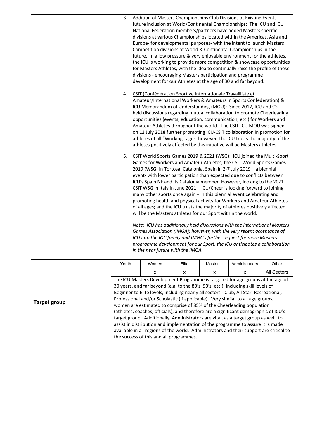| 3.    |       |       |                                         |                                   |                                                                                                                                                                                                                                                                                                                                                                                                                                                                                                                                                                                                                                                                                                                                                                                                                                                                                                                                                                                                                                                                                                                                                                                                                                                                                                                                                                                                                                                                                                                                                                                                                                                                                                                                                                                                                                                                                                                                                                                                                                                                                                                                                                                                                                                                                                                                                                                                                                                                                                                                                                                                                                                                                                                                                                                                                                                                                                                                                                                                                                                                                                                                                                                                                                                                                                                                                                   |
|-------|-------|-------|-----------------------------------------|-----------------------------------|-------------------------------------------------------------------------------------------------------------------------------------------------------------------------------------------------------------------------------------------------------------------------------------------------------------------------------------------------------------------------------------------------------------------------------------------------------------------------------------------------------------------------------------------------------------------------------------------------------------------------------------------------------------------------------------------------------------------------------------------------------------------------------------------------------------------------------------------------------------------------------------------------------------------------------------------------------------------------------------------------------------------------------------------------------------------------------------------------------------------------------------------------------------------------------------------------------------------------------------------------------------------------------------------------------------------------------------------------------------------------------------------------------------------------------------------------------------------------------------------------------------------------------------------------------------------------------------------------------------------------------------------------------------------------------------------------------------------------------------------------------------------------------------------------------------------------------------------------------------------------------------------------------------------------------------------------------------------------------------------------------------------------------------------------------------------------------------------------------------------------------------------------------------------------------------------------------------------------------------------------------------------------------------------------------------------------------------------------------------------------------------------------------------------------------------------------------------------------------------------------------------------------------------------------------------------------------------------------------------------------------------------------------------------------------------------------------------------------------------------------------------------------------------------------------------------------------------------------------------------------------------------------------------------------------------------------------------------------------------------------------------------------------------------------------------------------------------------------------------------------------------------------------------------------------------------------------------------------------------------------------------------------------------------------------------------------------------------------------------------|
| 4.    |       |       |                                         |                                   |                                                                                                                                                                                                                                                                                                                                                                                                                                                                                                                                                                                                                                                                                                                                                                                                                                                                                                                                                                                                                                                                                                                                                                                                                                                                                                                                                                                                                                                                                                                                                                                                                                                                                                                                                                                                                                                                                                                                                                                                                                                                                                                                                                                                                                                                                                                                                                                                                                                                                                                                                                                                                                                                                                                                                                                                                                                                                                                                                                                                                                                                                                                                                                                                                                                                                                                                                                   |
| 5.    |       |       |                                         |                                   |                                                                                                                                                                                                                                                                                                                                                                                                                                                                                                                                                                                                                                                                                                                                                                                                                                                                                                                                                                                                                                                                                                                                                                                                                                                                                                                                                                                                                                                                                                                                                                                                                                                                                                                                                                                                                                                                                                                                                                                                                                                                                                                                                                                                                                                                                                                                                                                                                                                                                                                                                                                                                                                                                                                                                                                                                                                                                                                                                                                                                                                                                                                                                                                                                                                                                                                                                                   |
|       |       |       |                                         |                                   |                                                                                                                                                                                                                                                                                                                                                                                                                                                                                                                                                                                                                                                                                                                                                                                                                                                                                                                                                                                                                                                                                                                                                                                                                                                                                                                                                                                                                                                                                                                                                                                                                                                                                                                                                                                                                                                                                                                                                                                                                                                                                                                                                                                                                                                                                                                                                                                                                                                                                                                                                                                                                                                                                                                                                                                                                                                                                                                                                                                                                                                                                                                                                                                                                                                                                                                                                                   |
| Youth | Women | Elite | Master's                                | Administrators                    | Other                                                                                                                                                                                                                                                                                                                                                                                                                                                                                                                                                                                                                                                                                                                                                                                                                                                                                                                                                                                                                                                                                                                                                                                                                                                                                                                                                                                                                                                                                                                                                                                                                                                                                                                                                                                                                                                                                                                                                                                                                                                                                                                                                                                                                                                                                                                                                                                                                                                                                                                                                                                                                                                                                                                                                                                                                                                                                                                                                                                                                                                                                                                                                                                                                                                                                                                                                             |
|       | x     | X     | x                                       | X                                 | All Sectors                                                                                                                                                                                                                                                                                                                                                                                                                                                                                                                                                                                                                                                                                                                                                                                                                                                                                                                                                                                                                                                                                                                                                                                                                                                                                                                                                                                                                                                                                                                                                                                                                                                                                                                                                                                                                                                                                                                                                                                                                                                                                                                                                                                                                                                                                                                                                                                                                                                                                                                                                                                                                                                                                                                                                                                                                                                                                                                                                                                                                                                                                                                                                                                                                                                                                                                                                       |
|       |       |       |                                         |                                   |                                                                                                                                                                                                                                                                                                                                                                                                                                                                                                                                                                                                                                                                                                                                                                                                                                                                                                                                                                                                                                                                                                                                                                                                                                                                                                                                                                                                                                                                                                                                                                                                                                                                                                                                                                                                                                                                                                                                                                                                                                                                                                                                                                                                                                                                                                                                                                                                                                                                                                                                                                                                                                                                                                                                                                                                                                                                                                                                                                                                                                                                                                                                                                                                                                                                                                                                                                   |
|       |       |       | the success of this and all programmes. | in the near future with the IMGA. | Addition of Masters Championships Club Divisions at Existing Events -<br>future inclusion at World/Continental Championships: The ICU and ICU<br>National Federation members/partners have added Masters specific<br>divisions at various Championships located within the Americas, Asia and<br>Europe- for developmental purposes- with the intent to launch Masters<br>Competition divisions at World & Continental Championships in the<br>future. In a low pressure & very enjoyable environment for the athletes,<br>the ICU is working to provide more competition & showcase opportunities<br>for Masters Athletes, with the idea to continually raise the profile of these<br>divisions - encouraging Masters participation and programme<br>development for our Athletes at the age of 30 and far beyond.<br>CSIT (Confédération Sportive Internationale Travailliste et<br>Amateur/International Workers & Amateurs in Sports Confederation) &<br>ICU Memorandum of Understanding (MOU): Since 2017, ICU and CSIT<br>held discussions regarding mutual collaboration to promote Cheerleading<br>opportunities (events, education, communication, etc.) for Workers and<br>Amateur Athletes throughout the world. The CSIT-ICU MOU was signed<br>on 12 July 2018 further promoting ICU-CSIT collaboration in promotion for<br>athletes of all "Working" ages; however, the ICU trusts the majority of the<br>athletes positively affected by this initiative will be Masters athletes.<br>CSIT World Sports Games 2019 & 2021 (WSG): ICU joined the Multi-Sport<br>Games for Workers and Amateur Athletes, the CSIT World Sports Games<br>2019 (WSG) in Tortosa, Catalonia, Spain in 2-7 July 2019 - a biennial<br>event- with lower participation than expected due to conflicts between<br>ICU's Spain NF and its Catalonia member. However, looking to the 2021<br>CSIT WSG in Italy in June 2021 - ICU/Cheer is looking forward to joining<br>many other sports once again - in this biennial event celebrating and<br>promoting health and physical activity for Workers and Amateur Athletes<br>of all ages; and the ICU trusts the majority of athletes positively affected<br>will be the Masters athletes for our Sport within the world.<br>Note: ICU has additionally held discussions with the International Masters<br>Games Association (IMGA); however, with the very recent acceptance of<br>ICU into the IOC family and IMGA's further request for more Masters<br>programme development for our Sport, the ICU anticipates a collaboration<br>The ICU Masters Development Programme is targeted for age groups at the age of<br>30 years, and far beyond (e.g. to the 80's, 90's, etc.); including skill levels of<br>Beginner to Elite levels, including nearly all sectors - Club, All Star, Recreational,<br>Professional and/or Scholastic (if applicable). Very similar to all age groups,<br>women are estimated to comprise of 85% of the Cheerleading population<br>(athletes, coaches, officials), and therefore are a significant demographic of ICU's<br>target group. Additionally, Administrators are vital, as a target group as well, to<br>assist in distribution and implementation of the programme to assure it is made<br>available in all regions of the world. Administrators and their support are critical to |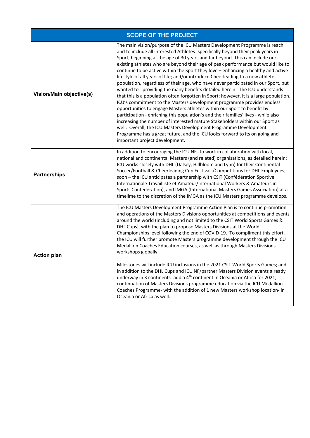|                          | <b>SCOPE OF THE PROJECT</b>                                                                                                                                                                                                                                                                                                                                                                                                                                                                                                                                                                                                                                                                                                                                                                                                                                                                                                                                                                                                                                                                                                                                                                                                                                                            |
|--------------------------|----------------------------------------------------------------------------------------------------------------------------------------------------------------------------------------------------------------------------------------------------------------------------------------------------------------------------------------------------------------------------------------------------------------------------------------------------------------------------------------------------------------------------------------------------------------------------------------------------------------------------------------------------------------------------------------------------------------------------------------------------------------------------------------------------------------------------------------------------------------------------------------------------------------------------------------------------------------------------------------------------------------------------------------------------------------------------------------------------------------------------------------------------------------------------------------------------------------------------------------------------------------------------------------|
| Vision/Main objective(s) | The main vision/purpose of the ICU Masters Development Programme is reach<br>and to include all interested Athletes- specifically beyond their peak years in<br>Sport, beginning at the age of 30 years and far beyond. This can include our<br>existing athletes who are beyond their age of peak performance but would like to<br>continue to be active within the Sport they love - enhancing a healthy and active<br>lifestyle of all years of life; and/or introduce Cheerleading to a new athlete<br>population, regardless of their age, who have never participated in our Sport, but<br>wanted to - providing the many benefits detailed herein. The ICU understands<br>that this is a population often forgotten in Sport; however, it is a large population.<br>ICU's commitment to the Masters development programme provides endless<br>opportunities to engage Masters athletes within our Sport to benefit by<br>participation - enriching this population's and their families' lives - while also<br>increasing the number of interested mature Stakeholders within our Sport as<br>well. Overall, the ICU Masters Development Programme Development<br>Programme has a great future, and the ICU looks forward to its on going and<br>important project development. |
| <b>Partnerships</b>      | In addition to encouraging the ICU NFs to work in collaboration with local,<br>national and continental Masters (and related) organisations, as detailed herein;<br>ICU works closely with DHL (Dalsey, Hillbloom and Lynn) for their Continental<br>Soccer/Football & Cheerleading Cup Festivals/Competitions for DHL Employees;<br>soon - the ICU anticipates a partnership with CSIT (Confédération Sportive<br>Internationale Travailliste et Amateur/International Workers & Amateurs in<br>Sports Confederation), and IMGA (International Masters Games Association) at a<br>timelime to the discretion of the IMGA as the ICU Masters programme develops.                                                                                                                                                                                                                                                                                                                                                                                                                                                                                                                                                                                                                       |
| <b>Action plan</b>       | The ICU Masters Development Programme Action Plan is to continue promotion<br>and operations of the Masters Divisions opportunities at competitions and events<br>around the world (including and not limited to the CSIT World Sports Games &<br>DHL Cups), with the plan to propose Masters Divisions at the World<br>Championships level following the end of COVID-19. To compliment this effort,<br>the ICU will further promote Masters programme development through the ICU<br>Medallion Coaches Education courses, as well as through Masters Divisions<br>workshops globally.<br>Milestones will include ICU inclusions in the 2021 CSIT World Sports Games; and<br>in addition to the DHL Cups and ICU NF/partner Masters Division events already<br>underway in 3 continents -add a 4 <sup>th</sup> continent in Oceania or Africa for 2021;<br>continuation of Masters Divisions programme education via the ICU Medallion<br>Coaches Programme- with the addition of 1 new Masters workshop location- in<br>Oceania or Africa as well.                                                                                                                                                                                                                                   |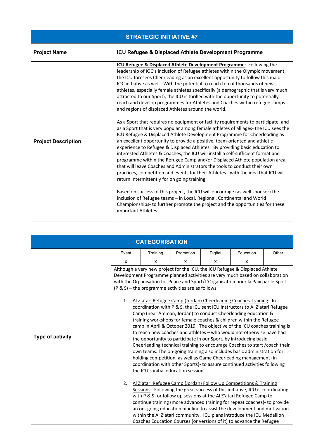| <b>STRATEGIC INITIATIVE #7</b> |                                                                                                                                                                                                                                                                                                                                                                                                                                                                                                                                                                                                                                                                                                                                                                                                           |  |  |  |
|--------------------------------|-----------------------------------------------------------------------------------------------------------------------------------------------------------------------------------------------------------------------------------------------------------------------------------------------------------------------------------------------------------------------------------------------------------------------------------------------------------------------------------------------------------------------------------------------------------------------------------------------------------------------------------------------------------------------------------------------------------------------------------------------------------------------------------------------------------|--|--|--|
| <b>Project Name</b>            | ICU Refugee & Displaced Athlete Development Programme                                                                                                                                                                                                                                                                                                                                                                                                                                                                                                                                                                                                                                                                                                                                                     |  |  |  |
|                                | ICU Refugee & Displaced Athlete Development Programme: Following the<br>leadership of IOC's inclusion of Refugee athletes within the Olympic movement,<br>the ICU foresees Cheerleading as an excellent opportunity to follow this major<br>IOC initiative as well. With the potential to reach ten of thousands of new<br>athletes, especially female athletes specifically (a demographic that is very much<br>attracted to our Sport), the ICU is thrilled with the opportunity to potentially<br>reach and develop programmes for Athletes and Coaches within refugee camps<br>and regions of displaced Athletes around the world.                                                                                                                                                                    |  |  |  |
| <b>Project Description</b>     | As a Sport that requires no equipment or facility requirements to participate, and<br>as a Sport that is very popular among female athletes of all ages- the ICU sees the<br>ICU Refugee & Displaced Athlete Development Programme for Cheerleading as<br>an excellent opportunity to provide a positive, team-oriented and athletic<br>experience to Refugee & Displaced Athletes. By providing basic education to<br>interested Athletes & Coaches, the ICU will install a self-sufficient format and<br>programme within the Refugee Camp and/or Displaced Athlete population area,<br>that will leave Coaches and Administrators the tools to conduct their own<br>practices, competition and events for their Athletes - with the idea that ICU will<br>return intermittently for on going training. |  |  |  |
|                                | Based on success of this project, the ICU will encourage (as well sponsor) the<br>inclusion of Refugee teams - in Local, Regional, Continental and World<br>Championships- to further promote the project and the opportunities for these<br>important Athletes.                                                                                                                                                                                                                                                                                                                                                                                                                                                                                                                                          |  |  |  |

| <b>CATEGORISATION</b> |                                                                                                                                                                                                                                                                                                                                                                                                                                                                                                                                                                                                                                                                                                                                                                                                                                                                                                                                                                                                                                                                                                                                                                                               |          |           |              |                                                                                                                                                                                                                                                                                                                                                                                                                                                                                                                                         |       |  |
|-----------------------|-----------------------------------------------------------------------------------------------------------------------------------------------------------------------------------------------------------------------------------------------------------------------------------------------------------------------------------------------------------------------------------------------------------------------------------------------------------------------------------------------------------------------------------------------------------------------------------------------------------------------------------------------------------------------------------------------------------------------------------------------------------------------------------------------------------------------------------------------------------------------------------------------------------------------------------------------------------------------------------------------------------------------------------------------------------------------------------------------------------------------------------------------------------------------------------------------|----------|-----------|--------------|-----------------------------------------------------------------------------------------------------------------------------------------------------------------------------------------------------------------------------------------------------------------------------------------------------------------------------------------------------------------------------------------------------------------------------------------------------------------------------------------------------------------------------------------|-------|--|
|                       | Event                                                                                                                                                                                                                                                                                                                                                                                                                                                                                                                                                                                                                                                                                                                                                                                                                                                                                                                                                                                                                                                                                                                                                                                         | Training | Promotion | Digital      | Education                                                                                                                                                                                                                                                                                                                                                                                                                                                                                                                               | Other |  |
|                       | X                                                                                                                                                                                                                                                                                                                                                                                                                                                                                                                                                                                                                                                                                                                                                                                                                                                                                                                                                                                                                                                                                                                                                                                             | X        | X         | $\mathsf{x}$ | X                                                                                                                                                                                                                                                                                                                                                                                                                                                                                                                                       |       |  |
| Type of activity      | Although a very new project for the ICU, the ICU Refugee & Displaced Athlete<br>Development Programme planned activities are very much based on collaboration<br>with the Organisation for Peace and Sport/L'Organisation pour la Paix par le Sport<br>$(P \& S)$ – the programme activities are as follows:<br>Al Z'atari Refugee Camp (Jordan) Cheerleading Coaches Training: In<br>1.<br>coordination with P & S, the ICU sent ICU instructors to Al Z'atari Refugee<br>Camp (near Amman, Jordan) to conduct Cheerleading education &<br>training workshops for female coaches & children within the Refugee<br>camp in April & October 2019. The objective of the ICU coaches training is<br>to reach new coaches and athletes - who would not otherwise have had<br>the opportunity to participate in our Sport, by introducing basic<br>Cheerleading technical training to encourage Coaches to start / coach their<br>own teams. The on-going training also includes basic administration for<br>holding competition, as well as Game Cheerleading management (in<br>coordination with other Sports)- to assure continued activities following<br>the ICU's initial education session. |          |           |              |                                                                                                                                                                                                                                                                                                                                                                                                                                                                                                                                         |       |  |
|                       |                                                                                                                                                                                                                                                                                                                                                                                                                                                                                                                                                                                                                                                                                                                                                                                                                                                                                                                                                                                                                                                                                                                                                                                               |          |           |              | 2. Al Z'atari Refugee Camp (Jordan) Follow Up Competitions & Training<br>Sessions: Following the great success of this initiative, ICU is coordinating<br>with P & S for follow up sessions at the Al Z'atari Refugee Camp to<br>continue training (more advanced training for repeat coaches)- to provide<br>an on-going education pipeline to assist the development and motivation<br>within the Al Z'atari community. ICU plans introduce the ICU Medallion<br>Coaches Education Courses (or versions of it) to advance the Refugee |       |  |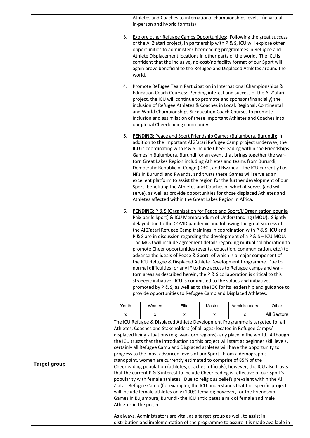|                     | Athletes and Coaches to international championships levels. (in virtual,<br>in-person and hybrid formats)                                                                                                                                                                                                                                                                                                                                                                                                                                                                                                                                                                                                                                                                         |                                                            |       |          |                                                                                                                                                                                                                                                                                                                                                                                                                                                                                                                                                                                                                                                                                                                                                                                                                                                                                                                                                                                                                                                                           |       |
|---------------------|-----------------------------------------------------------------------------------------------------------------------------------------------------------------------------------------------------------------------------------------------------------------------------------------------------------------------------------------------------------------------------------------------------------------------------------------------------------------------------------------------------------------------------------------------------------------------------------------------------------------------------------------------------------------------------------------------------------------------------------------------------------------------------------|------------------------------------------------------------|-------|----------|---------------------------------------------------------------------------------------------------------------------------------------------------------------------------------------------------------------------------------------------------------------------------------------------------------------------------------------------------------------------------------------------------------------------------------------------------------------------------------------------------------------------------------------------------------------------------------------------------------------------------------------------------------------------------------------------------------------------------------------------------------------------------------------------------------------------------------------------------------------------------------------------------------------------------------------------------------------------------------------------------------------------------------------------------------------------------|-------|
|                     | 3. Explore other Refugee Camps Opportunities: Following the great success<br>of the Al Z'atari project, in partnership with P & S, ICU will explore other<br>opportunities to administer Cheerleading programmes in Refugee and<br>Athlete Displacement locations in other parts of the world. The ICU is<br>confident that the inclusive, no-cost/no facility format of our Sport will<br>again prove beneficial to the Refugee and Displaced Athletes around the<br>world.                                                                                                                                                                                                                                                                                                      |                                                            |       |          |                                                                                                                                                                                                                                                                                                                                                                                                                                                                                                                                                                                                                                                                                                                                                                                                                                                                                                                                                                                                                                                                           |       |
|                     | 4. Promote Refugee Team Participation in International Championships &<br>Education Coach Courses: Pending interest and success of the Al Z'atari<br>project, the ICU will continue to promote and sponsor (financially) the<br>inclusion of Refugee Athletes & Coaches in Local, Regional, Continental<br>and World Championships & Education Coach Courses to promote<br>inclusion and assimilation of these important Athletes and Coaches into<br>our global Cheerleading community.                                                                                                                                                                                                                                                                                          |                                                            |       |          |                                                                                                                                                                                                                                                                                                                                                                                                                                                                                                                                                                                                                                                                                                                                                                                                                                                                                                                                                                                                                                                                           |       |
|                     | 5.                                                                                                                                                                                                                                                                                                                                                                                                                                                                                                                                                                                                                                                                                                                                                                                | Athletes affected within the Great Lakes Region in Africa. |       |          | PENDING: Peace and Sport Friendship Games (Bujumbura, Burundi): In<br>addition to the important Al Z'atari Refugee Camp project underway, the<br>ICU is coordinating with P & S include Cheerleading within the Friendships<br>Games in Bujumbura, Burundi for an event that brings together the war-<br>torn Great Lakes Region including Athletes and teams from Burundi,<br>Democratic Republic of Congo (DRC), and Rwanda. The ICU currently has<br>NFs in Burundi and Rwanda, and trusts these Games will serve as an<br>excellent platform to assist the region for the further development of our<br>Sport -benefiting the Athletes and Coaches of which it serves (and will<br>serve), as well as provide opportunities for those displaced Athletes and                                                                                                                                                                                                                                                                                                          |       |
|                     |                                                                                                                                                                                                                                                                                                                                                                                                                                                                                                                                                                                                                                                                                                                                                                                   |                                                            |       |          | 6. PENDING: P & S (Organisation for Peace and Sport/L'Organisation pour la<br>Paix par le Sport) & ICU Memorandum of Understanding (MOU): Slightly<br>delayed due to the COVID pandemic and following the great success of<br>the Al Z'atari Refugee Camp trainings in coordination with P & S, ICU and<br>P & S are in discussion regarding the development of a P & S - ICU MOU.<br>The MOU will include agreement details regarding mutual collaboration to<br>promote Cheer opportunities (events, education, communication, etc.) to<br>advance the ideals of Peace & Sport; of which is a major component of<br>the ICU Refugee & Displaced Athlete Development Programme. Due to<br>normal difficulties for any IF to have access to Refugee camps and war-<br>torn areas as described herein, the P & S collaboration is critical to this<br>stragegic initiative. ICU is committed to the values and initiatives<br>promoted by P & S, as well as to the IOC for its leadership and guidance to<br>provide opportunities to Refugee Camp and Displaced Athletes. |       |
|                     | Youth                                                                                                                                                                                                                                                                                                                                                                                                                                                                                                                                                                                                                                                                                                                                                                             | Women                                                      | Elite | Master's | Administrators                                                                                                                                                                                                                                                                                                                                                                                                                                                                                                                                                                                                                                                                                                                                                                                                                                                                                                                                                                                                                                                            | Other |
|                     | All Sectors<br>X<br>x<br>х<br>x<br>х<br>The ICU Refugee & Displaced Athlete Development Programme is targeted for all<br>Athletes, Coaches and Stakeholders (of all ages) located in Refugee Camps/<br>displaced living situations (e.g. war-torn regions)- any place in the world. Although<br>the ICU trusts that the introduction to this project will start at beginner skill levels,                                                                                                                                                                                                                                                                                                                                                                                         |                                                            |       |          |                                                                                                                                                                                                                                                                                                                                                                                                                                                                                                                                                                                                                                                                                                                                                                                                                                                                                                                                                                                                                                                                           |       |
| <b>Target group</b> | certainly all Refugee Camp and Displaced athletes will have the opportunity to<br>progress to the most advanced levels of our Sport. From a demographic<br>standpoint, women are currently estimated to comprise of 85% of the<br>Cheerleading population (athletes, coaches, officials); however, the ICU also trusts<br>that the current P & S interest to include Cheerleading is reflective of our Sport's<br>popularity with female athletes. Due to religious beliefs prevalent within the Al<br>Z'atari Refugee Camp (for example), the ICU understands that this specific project<br>will include female athletes only (100% female); however, for the Friendship<br>Games in Bujumbura, Burundi-the ICU anticipates a mix of female and male<br>Athletes in the project. |                                                            |       |          |                                                                                                                                                                                                                                                                                                                                                                                                                                                                                                                                                                                                                                                                                                                                                                                                                                                                                                                                                                                                                                                                           |       |
|                     |                                                                                                                                                                                                                                                                                                                                                                                                                                                                                                                                                                                                                                                                                                                                                                                   |                                                            |       |          | As always, Administrators are vital, as a target group as well, to assist in<br>distribution and implementation of the programme to assure it is made available in                                                                                                                                                                                                                                                                                                                                                                                                                                                                                                                                                                                                                                                                                                                                                                                                                                                                                                        |       |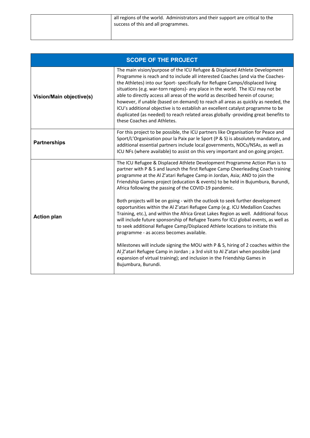| all regions of the world. Administrators and their support are critical to the<br>success of this and all programmes. |
|-----------------------------------------------------------------------------------------------------------------------|
|                                                                                                                       |

| <b>SCOPE OF THE PROJECT</b> |                                                                                                                                                                                                                                                                                                                                                                                                                                                                                                                                                                                                                                                                                                                 |  |  |  |  |
|-----------------------------|-----------------------------------------------------------------------------------------------------------------------------------------------------------------------------------------------------------------------------------------------------------------------------------------------------------------------------------------------------------------------------------------------------------------------------------------------------------------------------------------------------------------------------------------------------------------------------------------------------------------------------------------------------------------------------------------------------------------|--|--|--|--|
| Vision/Main objective(s)    | The main vision/purpose of the ICU Refugee & Displaced Athlete Development<br>Programme is reach and to include all interested Coaches (and via the Coaches-<br>the Athletes) into our Sport- specifically for Refugee Camps/displaced living<br>situations (e.g. war-torn regions)- any place in the world. The ICU may not be<br>able to directly access all areas of the world as described herein of course;<br>however, if unable (based on demand) to reach all areas as quickly as needed, the<br>ICU's additional objective is to establish an excellent catalyst programme to be<br>duplicated (as needed) to reach related areas globally -providing great benefits to<br>these Coaches and Athletes. |  |  |  |  |
| <b>Partnerships</b>         | For this project to be possible, the ICU partners like Organisation for Peace and<br>Sport/L'Organisation pour la Paix par le Sport (P & S) is absolutely mandatory, and<br>additional essential partners include local governments, NOCs/NSAs, as well as<br>ICU NFs (where available) to assist on this very important and on going project.                                                                                                                                                                                                                                                                                                                                                                  |  |  |  |  |
| <b>Action plan</b>          | The ICU Refugee & Displaced Athlete Development Programme Action Plan is to<br>partner with P & S and launch the first Refugee Camp Cheerleading Coach training<br>programme at the Al Z'atari Refugee Camp in Jordan, Asia; AND to join the<br>Friendship Games project (education & events) to be held in Bujumbura, Burundi,<br>Africa following the passing of the COVID-19 pandemic.                                                                                                                                                                                                                                                                                                                       |  |  |  |  |
|                             | Both projects will be on going - with the outlook to seek further development<br>opportunities within the Al Z'atari Refugee Camp (e.g. ICU Medallion Coaches<br>Training, etc.), and within the Africa Great Lakes Region as well. Additional focus<br>will include future sponsorship of Refugee Teams for ICU global events, as well as<br>to seek additional Refugee Camp/Displaced Athlete locations to initiate this<br>programme - as access becomes available.                                                                                                                                                                                                                                          |  |  |  |  |
|                             | Milestones will include signing the MOU with P & S, hiring of 2 coaches within the<br>Al Z'atari Refugee Camp in Jordan ; a 3rd visit to Al Z'atari when possible (and<br>expansion of virtual training); and inclusion in the Friendship Games in<br>Bujumbura, Burundi.                                                                                                                                                                                                                                                                                                                                                                                                                                       |  |  |  |  |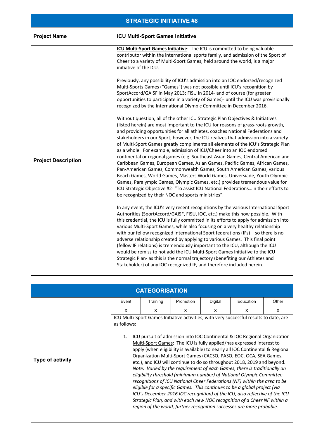| <b>STRATEGIC INITIATIVE #8</b> |                                                                                                                                                                                                                                                                                                                                                                                                                                                                                                                                                                                                                                                                                                                                                                                                                                                                                                                                                                                                                                                            |  |  |  |
|--------------------------------|------------------------------------------------------------------------------------------------------------------------------------------------------------------------------------------------------------------------------------------------------------------------------------------------------------------------------------------------------------------------------------------------------------------------------------------------------------------------------------------------------------------------------------------------------------------------------------------------------------------------------------------------------------------------------------------------------------------------------------------------------------------------------------------------------------------------------------------------------------------------------------------------------------------------------------------------------------------------------------------------------------------------------------------------------------|--|--|--|
| <b>Project Name</b>            | <b>ICU Multi-Sport Games Initiative</b>                                                                                                                                                                                                                                                                                                                                                                                                                                                                                                                                                                                                                                                                                                                                                                                                                                                                                                                                                                                                                    |  |  |  |
| <b>Project Description</b>     | ICU Multi-Sport Games Initiative: The ICU is committed to being valuable<br>contributor within the international sports family, and admission of the Sport of<br>Cheer to a variety of Multi-Sport Games, held around the world, is a major<br>initiative of the ICU.                                                                                                                                                                                                                                                                                                                                                                                                                                                                                                                                                                                                                                                                                                                                                                                      |  |  |  |
|                                | Previously, any possibility of ICU's admission into an IOC endorsed/recognized<br>Multi-Sports Games ("Games") was not possible until ICU's recognition by<br>SportAccord/GAISF in May 2013; FISU in 2014- and of course (for greater<br>opportunities to participate in a variety of Games)- until the ICU was provisionally<br>recognized by the International Olympic Committee in December 2016.                                                                                                                                                                                                                                                                                                                                                                                                                                                                                                                                                                                                                                                       |  |  |  |
|                                | Without question, all of the other ICU Strategic Plan Objectives & Initiatives<br>(listed herein) are most important to the ICU for reasons of grass-roots growth,<br>and providing opportunities for all athletes, coaches National Federations and<br>stakeholders in our Sport; however, the ICU realizes that admission into a variety<br>of Multi-Sport Games greatly compliments all elements of the ICU's Strategic Plan<br>as a whole. For example, admission of ICU/Cheer into an IOC endorsed<br>continental or regional games (e.g. Southeast Asian Games, Central American and<br>Caribbean Games, European Games, Asian Games, Pacific Games, African Games,<br>Pan-American Games, Commonwealth Games, South American Games, various<br>Beach Games, World Games, Masters World Games, Universiade, Youth Olympic<br>Games, Paralympic Games, Olympic Games, etc.) provides tremendous value for<br>ICU Strategic Objective #2- "To assist ICU National Federationsin their efforts to<br>be recognized by their NOC and sports ministries". |  |  |  |
|                                | In any event, the ICU's very recent recognitions by the various International Sport<br>Authorities (SportAccord/GAISF, FISU, IOC, etc.) make this now possible. With<br>this credential, the ICU is fully committed in its efforts to apply for admission into<br>various Multi-Sport Games, while also focusing on a very healthy relationship<br>with our fellow recognized International Sport federations (IFs) – so there is no<br>adverse relationship created by applying to various Games. This final point<br>(fellow IF relations) is tremendously important to the ICU, although the ICU<br>would be remiss to not add the ICU Multi-Sport Games Initiative to the ICU<br>Strategic Plan- as this is the normal trajectory (benefiting our Athletes and<br>Stakeholder) of any IOC recognized IF, and therefore included herein.                                                                                                                                                                                                                |  |  |  |

| <b>CATEGORISATION</b> |                                                                                                                                                                                                                                                                                                                                                                                                                                                                                                                                                                                             |          |           |         |           |       |  |
|-----------------------|---------------------------------------------------------------------------------------------------------------------------------------------------------------------------------------------------------------------------------------------------------------------------------------------------------------------------------------------------------------------------------------------------------------------------------------------------------------------------------------------------------------------------------------------------------------------------------------------|----------|-----------|---------|-----------|-------|--|
|                       | Event                                                                                                                                                                                                                                                                                                                                                                                                                                                                                                                                                                                       | Training | Promotion | Digital | Education | Other |  |
|                       | X                                                                                                                                                                                                                                                                                                                                                                                                                                                                                                                                                                                           | x        | x         | x       | x         | x     |  |
| Type of activity      | ICU Multi-Sport Games Initiative activities, with very successful results to date, are<br>as follows:<br>ICU pursuit of admission into IOC Continental & IOC Regional Organization<br>$\mathbf{1}$ .<br>Multi-Sport Games: The ICU is fully applied/has expressed interest to<br>apply (when eligibility is available) to nearly all IOC Continental & Regional<br>Organization Multi-Sport Games (CACSO, PASO, EOC, OCA, SEA Games,<br>etc.), and ICU will continue to do so throughout 2018, 2019 and beyond.<br>Note: Varied by the requirement of each Games, there is traditionally an |          |           |         |           |       |  |
|                       | eligibility threshold (minimum number) of National Olympic Committee<br>recognitions of ICU National Cheer Federations (NF) within the area to be<br>eligible for a specific Games. This continues to be a global project (via<br>ICU's December 2016 IOC recognition) of the ICU, also reflective of the ICU<br>Strategic Plan, and with each new NOC recognition of a Cheer NF within a<br>region of the world, further recognition successes are more probable.                                                                                                                          |          |           |         |           |       |  |

 $\overline{\phantom{a}}$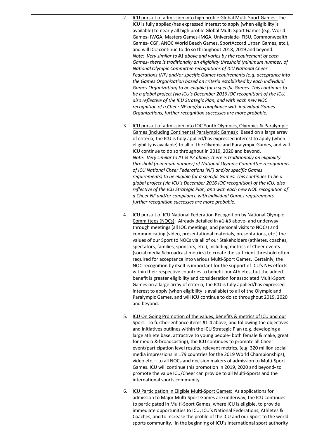| 2. | ICU pursuit of admission into high profile Global Multi-Sport Games: The<br>ICU is fully applied/has expressed interest to apply (when eligibility is<br>available) to nearly all high profile Global Multi-Sport Games (e.g. World<br>Games- IWGA, Masters Games-IMGA, Universiade- FISU, Commonwealth<br>Games- CGF, ANOC World Beach Games, SportAccord Urban Games, etc.),<br>and will ICU continue to do so throughout 2018, 2019 and beyond.<br>Note: Very similar to #1 above and varies by the requirement of each<br>Games- there is traditionally an eligibility threshold (minimum number) of<br>National Olympic Committee recognitions of ICU National Cheer<br>Federations (NF) and/or specific Games requirements (e.g. acceptance into<br>the Games Organization based on criteria established by each individual<br>Games Organization) to be eligible for a specific Games. This continues to<br>be a global project (via ICU's December 2016 IOC recognition) of the ICU,<br>also reflective of the ICU Strategic Plan, and with each new NOC<br>recognition of a Cheer NF and/or compliance with individual Games<br>Organizations, further recognition successes are more probable. |
|----|----------------------------------------------------------------------------------------------------------------------------------------------------------------------------------------------------------------------------------------------------------------------------------------------------------------------------------------------------------------------------------------------------------------------------------------------------------------------------------------------------------------------------------------------------------------------------------------------------------------------------------------------------------------------------------------------------------------------------------------------------------------------------------------------------------------------------------------------------------------------------------------------------------------------------------------------------------------------------------------------------------------------------------------------------------------------------------------------------------------------------------------------------------------------------------------------------------|
| 3. | ICU pursuit of admission into IOC Youth Olympics, Olympics & Paralympic<br>Games (including Continental Paralympic Games): Based on a large array<br>of criteria, the ICU is fully applied/has expressed interest to apply (when<br>eligibility is available) to all of the Olympic and Paralympic Games, and will<br>ICU continue to do so throughout in 2019, 2020 and beyond.<br>Note: Very similar to #1 & #2 above, there is traditionally an eligibility<br>threshold (minimum number) of National Olympic Committee recognitions<br>of ICU National Cheer Federations (NF) and/or specific Games<br>requirements) to be eligible for a specific Games. This continues to be a<br>global project (via ICU's December 2016 IOC recognition) of the ICU, also<br>reflective of the ICU Strategic Plan, and with each new NOC recognition of<br>a Cheer NF and/or compliance with individual Games requirements,<br>further recognition successes are more probable.                                                                                                                                                                                                                                  |
| 4. | ICU pursuit of ICU National Federation Recognition by National Olympic<br>Committees (NOCs): Already detailed in #1-#3 above- and underway<br>through meetings (all IOC meetings, and personal visits to NOCs) and<br>communicating (video, presentational materials, presentations, etc.) the<br>values of our Sport to NOCs via all of our Stakeholders (athletes, coaches,<br>spectators, families, sponsors, etc.), including metrics of Cheer events<br>(social media & broadcast metrics) to create the sufficient threshold often<br>required for acceptance into various Multi-Sport Games. Certainly, the<br>NOC recognition by itself is important for the support of ICU's NFs efforts<br>within their respective countries to benefit our Athletes, but the added<br>benefit is greater eligibility and consideration for associated Multi-Sport<br>Games on a large array of criteria, the ICU is fully applied/has expressed<br>interest to apply (when eligibility is available) to all of the Olympic and<br>Paralympic Games, and will ICU continue to do so throughout 2019, 2020<br>and beyond.                                                                                       |
| 5. | ICU On Going Promotion of the values, benefits & metrics of ICU and our<br>Sport: To further enhance items #1-4 above, and following the objectives<br>and initiatives outlines within the ICU Strategic Plan (e.g. developing a<br>large athlete base, attractive to young people- both female & make, great<br>for media & broadcasting), the ICU continues to promote all Cheer<br>event/participation level results, relevant metrics, (e.g. 320 million social<br>media impressions in 179 countries for the 2019 World Championships),<br>video etc. - to all NOCs and decision makers of admission to Multi-Sport<br>Games. ICU will continue this promotion in 2019, 2020 and beyond-to<br>promote the value ICU/Cheer can provide to all Multi-Sports and the<br>international sports community.                                                                                                                                                                                                                                                                                                                                                                                                |
| 6. | ICU Participation in Eligible Multi-Sport Games: As applications for<br>admission to Major Multi-Sport Games are underway, the ICU continues<br>to participated in Multi-Sport Games, where ICU is eligible, to provide<br>immediate opportunities to ICU, ICU's National Federations, Athletes &<br>Coaches, and to increase the profile of the ICU and our Sport to the world<br>sports community. In the beginning of ICU's international sport authority                                                                                                                                                                                                                                                                                                                                                                                                                                                                                                                                                                                                                                                                                                                                             |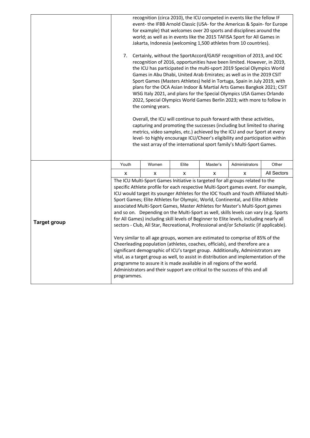|                     | 7.          | the coming years. |       |          | recognition (circa 2010), the ICU competed in events like the fellow IF<br>event- the IFBB Arnold Classic (USA- for the Americas & Spain- for Europe<br>for example) that welcomes over 20 sports and disciplines around the<br>world; as well as in events like the 2015 TAFISA Sport for All Games in<br>Jakarta, Indonesia (welcoming 1,500 athletes from 10 countries).<br>Certainly, without the SportAccord/GAISF recognition of 2013, and IOC<br>recognition of 2016, opportunities have been limited. However, in 2019,<br>the ICU has participated in the multi-sport 2019 Special Olympics World<br>Games in Abu Dhabi, United Arab Emirates; as well as in the 2019 CSIT<br>Sport Games (Masters Athletes) held in Tortuga, Spain in July 2019, with<br>plans for the OCA Asian Indoor & Martial Arts Games Bangkok 2021; CSIT<br>WSG Italy 2021, and plans for the Special Olympics USA Games Orlando<br>2022, Special Olympics World Games Berlin 2023; with more to follow in<br>Overall, the ICU will continue to push forward with these activities,<br>capturing and promoting the successes (including but limited to sharing<br>metrics, video samples, etc.) achieved by the ICU and our Sport at every<br>level- to highly encourage ICU/Cheer's eligibility and participation within<br>the vast array of the international sport family's Multi-Sport Games. |             |
|---------------------|-------------|-------------------|-------|----------|-------------------------------------------------------------------------------------------------------------------------------------------------------------------------------------------------------------------------------------------------------------------------------------------------------------------------------------------------------------------------------------------------------------------------------------------------------------------------------------------------------------------------------------------------------------------------------------------------------------------------------------------------------------------------------------------------------------------------------------------------------------------------------------------------------------------------------------------------------------------------------------------------------------------------------------------------------------------------------------------------------------------------------------------------------------------------------------------------------------------------------------------------------------------------------------------------------------------------------------------------------------------------------------------------------------------------------------------------------------------------------------|-------------|
|                     | Youth       | Women             | Elite | Master's | Administrators                                                                                                                                                                                                                                                                                                                                                                                                                                                                                                                                                                                                                                                                                                                                                                                                                                                                                                                                                                                                                                                                                                                                                                                                                                                                                                                                                                      | Other       |
|                     | x           | X                 | x     | X        | x                                                                                                                                                                                                                                                                                                                                                                                                                                                                                                                                                                                                                                                                                                                                                                                                                                                                                                                                                                                                                                                                                                                                                                                                                                                                                                                                                                                   | All Sectors |
| <b>Target group</b> | programmes. |                   |       |          | The ICU Multi-Sport Games Initiative is targeted for all groups related to the<br>specific Athlete profile for each respective Multi-Sport games event. For example,<br>ICU would target its younger Athletes for the IOC Youth and Youth Affiliated Multi-<br>Sport Games; Elite Athletes for Olympic, World, Continental, and Elite Athlete<br>associated Multi-Sport Games, Master Athletes for Master's Multi-Sport games<br>and so on. Depending on the Multi-Sport as well, skills levels can vary (e.g. Sports<br>for All Games) including skill levels of Beginner to Elite levels, including nearly all<br>sectors - Club, All Star, Recreational, Professional and/or Scholastic (if applicable).<br>Very similar to all age groups, women are estimated to comprise of 85% of the<br>Cheerleading population (athletes, coaches, officials), and therefore are a<br>significant demographic of ICU's target group. Additionally, Administrators are<br>vital, as a target group as well, to assist in distribution and implementation of the<br>programme to assure it is made available in all regions of the world.<br>Administrators and their support are critical to the success of this and all                                                                                                                                                                    |             |